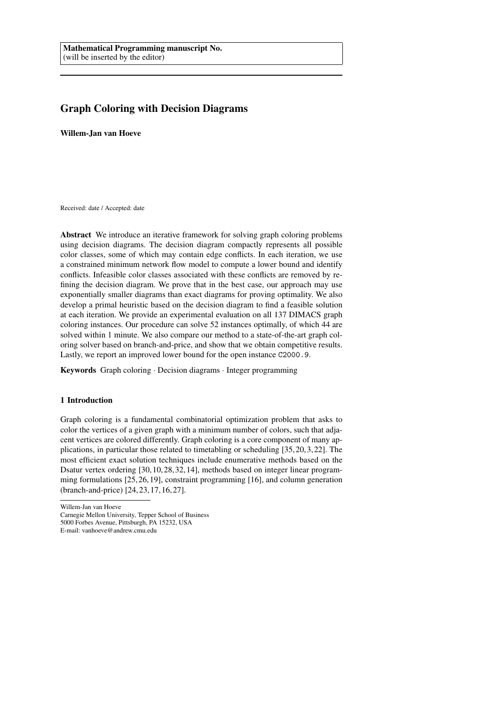# Graph Coloring with Decision Diagrams

Willem-Jan van Hoeve

Received: date / Accepted: date

Abstract We introduce an iterative framework for solving graph coloring problems using decision diagrams. The decision diagram compactly represents all possible color classes, some of which may contain edge conflicts. In each iteration, we use a constrained minimum network flow model to compute a lower bound and identify conflicts. Infeasible color classes associated with these conflicts are removed by refining the decision diagram. We prove that in the best case, our approach may use exponentially smaller diagrams than exact diagrams for proving optimality. We also develop a primal heuristic based on the decision diagram to find a feasible solution at each iteration. We provide an experimental evaluation on all 137 DIMACS graph coloring instances. Our procedure can solve 52 instances optimally, of which 44 are solved within 1 minute. We also compare our method to a state-of-the-art graph coloring solver based on branch-and-price, and show that we obtain competitive results. Lastly, we report an improved lower bound for the open instance C2000.9.

Keywords Graph coloring · Decision diagrams · Integer programming

# 1 Introduction

Graph coloring is a fundamental combinatorial optimization problem that asks to color the vertices of a given graph with a minimum number of colors, such that adjacent vertices are colored differently. Graph coloring is a core component of many applications, in particular those related to timetabling or scheduling [35, 20, 3, 22]. The most efficient exact solution techniques include enumerative methods based on the Dsatur vertex ordering [30, 10, 28, 32, 14], methods based on integer linear programming formulations [25, 26, 19], constraint programming [16], and column generation (branch-and-price) [24, 23, 17, 16, 27].

Willem-Jan van Hoeve Carnegie Mellon University, Tepper School of Business 5000 Forbes Avenue, Pittsburgh, PA 15232, USA E-mail: vanhoeve@andrew.cmu.edu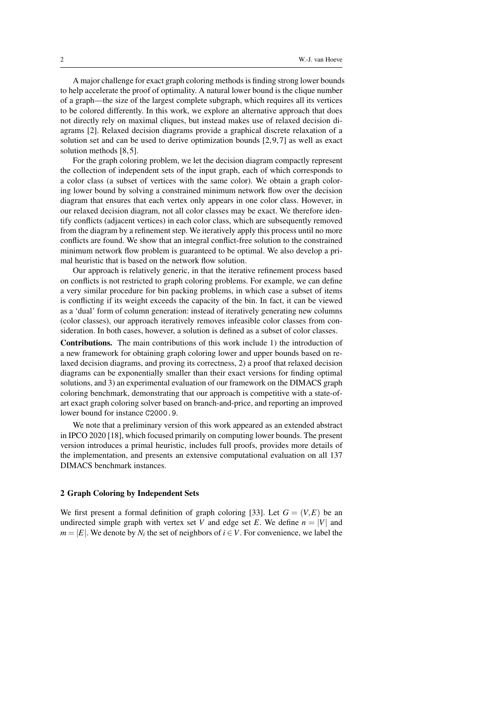A major challenge for exact graph coloring methods is finding strong lower bounds to help accelerate the proof of optimality. A natural lower bound is the clique number of a graph—the size of the largest complete subgraph, which requires all its vertices to be colored differently. In this work, we explore an alternative approach that does not directly rely on maximal cliques, but instead makes use of relaxed decision diagrams [2]. Relaxed decision diagrams provide a graphical discrete relaxation of a solution set and can be used to derive optimization bounds [2, 9, 7] as well as exact solution methods [8, 5].

For the graph coloring problem, we let the decision diagram compactly represent the collection of independent sets of the input graph, each of which corresponds to a color class (a subset of vertices with the same color). We obtain a graph coloring lower bound by solving a constrained minimum network flow over the decision diagram that ensures that each vertex only appears in one color class. However, in our relaxed decision diagram, not all color classes may be exact. We therefore identify conflicts (adjacent vertices) in each color class, which are subsequently removed from the diagram by a refinement step. We iteratively apply this process until no more conflicts are found. We show that an integral conflict-free solution to the constrained minimum network flow problem is guaranteed to be optimal. We also develop a primal heuristic that is based on the network flow solution.

Our approach is relatively generic, in that the iterative refinement process based on conflicts is not restricted to graph coloring problems. For example, we can define a very similar procedure for bin packing problems, in which case a subset of items is conflicting if its weight exceeds the capacity of the bin. In fact, it can be viewed as a 'dual' form of column generation: instead of iteratively generating new columns (color classes), our approach iteratively removes infeasible color classes from consideration. In both cases, however, a solution is defined as a subset of color classes.

Contributions. The main contributions of this work include 1) the introduction of a new framework for obtaining graph coloring lower and upper bounds based on relaxed decision diagrams, and proving its correctness, 2) a proof that relaxed decision diagrams can be exponentially smaller than their exact versions for finding optimal solutions, and 3) an experimental evaluation of our framework on the DIMACS graph coloring benchmark, demonstrating that our approach is competitive with a state-ofart exact graph coloring solver based on branch-and-price, and reporting an improved lower bound for instance C2000.9.

We note that a preliminary version of this work appeared as an extended abstract in IPCO 2020 [18], which focused primarily on computing lower bounds. The present version introduces a primal heuristic, includes full proofs, provides more details of the implementation, and presents an extensive computational evaluation on all 137 DIMACS benchmark instances.

# 2 Graph Coloring by Independent Sets

We first present a formal definition of graph coloring [33]. Let  $G = (V, E)$  be an undirected simple graph with vertex set *V* and edge set *E*. We define  $n = |V|$  and  $m = |E|$ . We denote by  $N_i$  the set of neighbors of  $i \in V$ . For convenience, we label the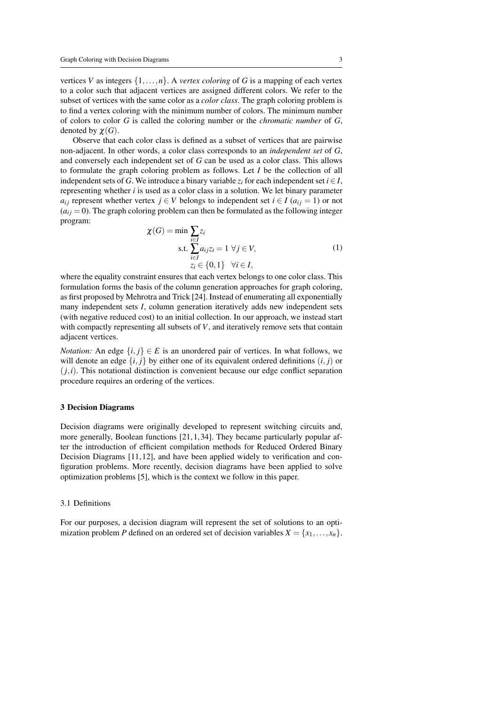vertices *V* as integers  $\{1,\ldots,n\}$ . A *vertex coloring* of *G* is a mapping of each vertex to a color such that adjacent vertices are assigned different colors. We refer to the subset of vertices with the same color as a *color class*. The graph coloring problem is to find a vertex coloring with the minimum number of colors. The minimum number of colors to color *G* is called the coloring number or the *chromatic number* of *G*, denoted by  $\chi(G)$ .

Observe that each color class is defined as a subset of vertices that are pairwise non-adjacent. In other words, a color class corresponds to an *independent set* of *G*, and conversely each independent set of *G* can be used as a color class. This allows to formulate the graph coloring problem as follows. Let *I* be the collection of all independent sets of *G*. We introduce a binary variable  $z_i$  for each independent set  $i \in I$ , representing whether *i* is used as a color class in a solution. We let binary parameter *a*<sub>*i*</sub> represent whether vertex *j* ∈ *V* belongs to independent set *i* ∈ *I* (*a*<sub>*i*</sub> i = 1) or not  $(a_{ij} = 0)$ . The graph coloring problem can then be formulated as the following integer program:

$$
\chi(G) = \min \sum_{\substack{i \in I \\ i \in I}} z_i
$$
\ns.t. 
$$
\sum_{i \in I} a_{ij} z_i = 1 \ \forall j \in V,
$$
\n
$$
z_i \in \{0, 1\} \ \forall i \in I,
$$
\n
$$
(1)
$$

where the equality constraint ensures that each vertex belongs to one color class. This formulation forms the basis of the column generation approaches for graph coloring, as first proposed by Mehrotra and Trick [24]. Instead of enumerating all exponentially many independent sets *I*, column generation iteratively adds new independent sets (with negative reduced cost) to an initial collection. In our approach, we instead start with compactly representing all subsets of *V*, and iteratively remove sets that contain adjacent vertices.

*Notation:* An edge  $\{i, j\} \in E$  is an unordered pair of vertices. In what follows, we will denote an edge  $\{i, j\}$  by either one of its equivalent ordered definitions  $(i, j)$  or  $(j,i)$ . This notational distinction is convenient because our edge conflict separation procedure requires an ordering of the vertices.

# 3 Decision Diagrams

Decision diagrams were originally developed to represent switching circuits and, more generally, Boolean functions  $[21, 1, 34]$ . They became particularly popular after the introduction of efficient compilation methods for Reduced Ordered Binary Decision Diagrams [11, 12], and have been applied widely to verification and configuration problems. More recently, decision diagrams have been applied to solve optimization problems [5], which is the context we follow in this paper.

# 3.1 Definitions

For our purposes, a decision diagram will represent the set of solutions to an optimization problem *P* defined on an ordered set of decision variables  $X = \{x_1, \ldots, x_n\}$ .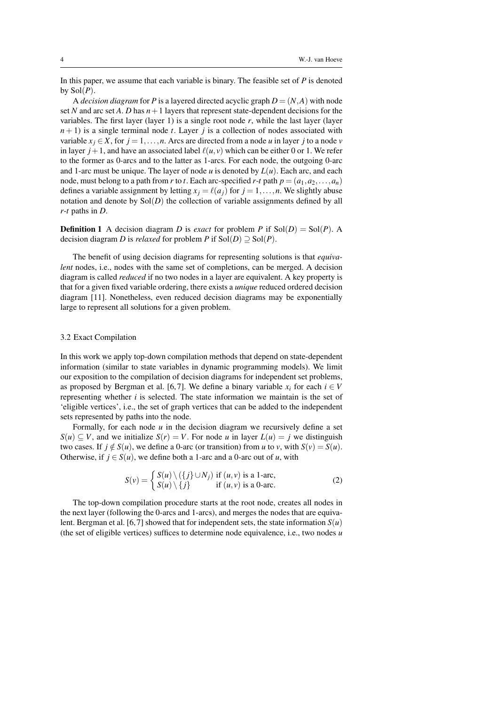In this paper, we assume that each variable is binary. The feasible set of *P* is denoted by  $Sol(P)$ .

A *decision diagram* for *P* is a layered directed acyclic graph  $D = (N, A)$  with node set *N* and arc set *A*. *D* has  $n+1$  layers that represent state-dependent decisions for the variables. The first layer (layer 1) is a single root node  $r$ , while the last layer (layer  $n+1$ ) is a single terminal node *t*. Layer *j* is a collection of nodes associated with variable  $x_j \in X$ , for  $j = 1, \ldots, n$ . Arcs are directed from a node *u* in layer *j* to a node *v* in layer  $j+1$ , and have an associated label  $\ell(u, v)$  which can be either 0 or 1. We refer to the former as 0-arcs and to the latter as 1-arcs. For each node, the outgoing 0-arc and 1-arc must be unique. The layer of node  $u$  is denoted by  $L(u)$ . Each arc, and each node, must belong to a path from *r* to *t*. Each arc-specified *r*-*t* path  $p = (a_1, a_2, \ldots, a_n)$ defines a variable assignment by letting  $x_i = \ell(a_i)$  for  $j = 1, \ldots, n$ . We slightly abuse notation and denote by  $Sol(D)$  the collection of variable assignments defined by all *r*-*t* paths in *D*.

**Definition 1** A decision diagram *D* is *exact* for problem *P* if  $Sol(D) = Sol(P)$ . A decision diagram *D* is *relaxed* for problem *P* if  $Sol(D) \supseteq Sol(P)$ .

The benefit of using decision diagrams for representing solutions is that *equivalent* nodes, i.e., nodes with the same set of completions, can be merged. A decision diagram is called *reduced* if no two nodes in a layer are equivalent. A key property is that for a given fixed variable ordering, there exists a *unique* reduced ordered decision diagram [11]. Nonetheless, even reduced decision diagrams may be exponentially large to represent all solutions for a given problem.

# 3.2 Exact Compilation

In this work we apply top-down compilation methods that depend on state-dependent information (similar to state variables in dynamic programming models). We limit our exposition to the compilation of decision diagrams for independent set problems, as proposed by Bergman et al. [6,7]. We define a binary variable  $x_i$  for each  $i \in V$ representing whether  $i$  is selected. The state information we maintain is the set of 'eligible vertices', i.e., the set of graph vertices that can be added to the independent sets represented by paths into the node.

Formally, for each node  $u$  in the decision diagram we recursively define a set *S*(*u*) ⊂ *V*, and we initialize *S*(*r*) = *V*. For node *u* in layer *L*(*u*) = *j* we distinguish two cases. If  $j \notin S(u)$ , we define a 0-arc (or transition) from *u* to *v*, with  $S(v) = S(u)$ . Otherwise, if  $j \in S(u)$ , we define both a 1-arc and a 0-arc out of *u*, with

$$
S(v) = \begin{cases} S(u) \setminus (\{j\} \cup N_j) & \text{if } (u, v) \text{ is a 1-arc,} \\ S(u) \setminus \{j\} & \text{if } (u, v) \text{ is a 0-arc.} \end{cases}
$$
 (2)

The top-down compilation procedure starts at the root node, creates all nodes in the next layer (following the 0-arcs and 1-arcs), and merges the nodes that are equivalent. Bergman et al. [6,7] showed that for independent sets, the state information  $S(u)$ (the set of eligible vertices) suffices to determine node equivalence, i.e., two nodes *u*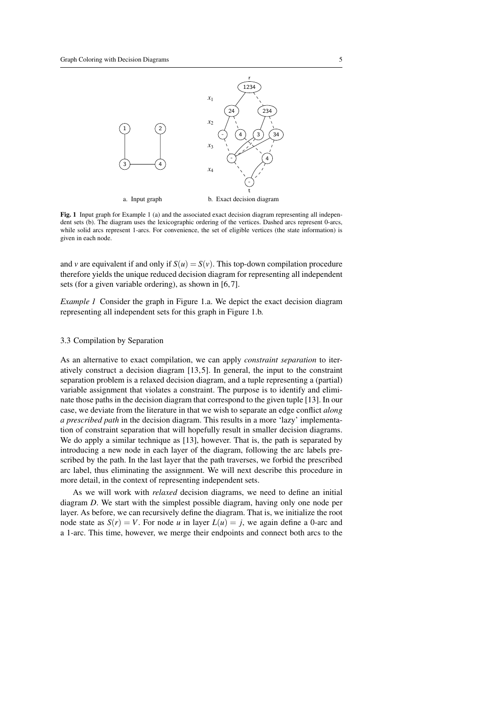

Fig. 1 Input graph for Example 1 (a) and the associated exact decision diagram representing all independent sets (b). The diagram uses the lexicographic ordering of the vertices. Dashed arcs represent 0-arcs, while solid arcs represent 1-arcs. For convenience, the set of eligible vertices (the state information) is given in each node.

and *v* are equivalent if and only if  $S(u) = S(v)$ . This top-down compilation procedure therefore yields the unique reduced decision diagram for representing all independent sets (for a given variable ordering), as shown in [6,7].

*Example 1* Consider the graph in Figure 1.a. We depict the exact decision diagram representing all independent sets for this graph in Figure 1.b.

# 3.3 Compilation by Separation

As an alternative to exact compilation, we can apply *constraint separation* to iteratively construct a decision diagram [13, 5]. In general, the input to the constraint separation problem is a relaxed decision diagram, and a tuple representing a (partial) variable assignment that violates a constraint. The purpose is to identify and eliminate those paths in the decision diagram that correspond to the given tuple [13]. In our case, we deviate from the literature in that we wish to separate an edge conflict *along a prescribed path* in the decision diagram. This results in a more 'lazy' implementation of constraint separation that will hopefully result in smaller decision diagrams. We do apply a similar technique as [13], however. That is, the path is separated by introducing a new node in each layer of the diagram, following the arc labels prescribed by the path. In the last layer that the path traverses, we forbid the prescribed arc label, thus eliminating the assignment. We will next describe this procedure in more detail, in the context of representing independent sets.

As we will work with *relaxed* decision diagrams, we need to define an initial diagram *D*. We start with the simplest possible diagram, having only one node per layer. As before, we can recursively define the diagram. That is, we initialize the root node state as  $S(r) = V$ . For node *u* in layer  $L(u) = j$ , we again define a 0-arc and a 1-arc. This time, however, we merge their endpoints and connect both arcs to the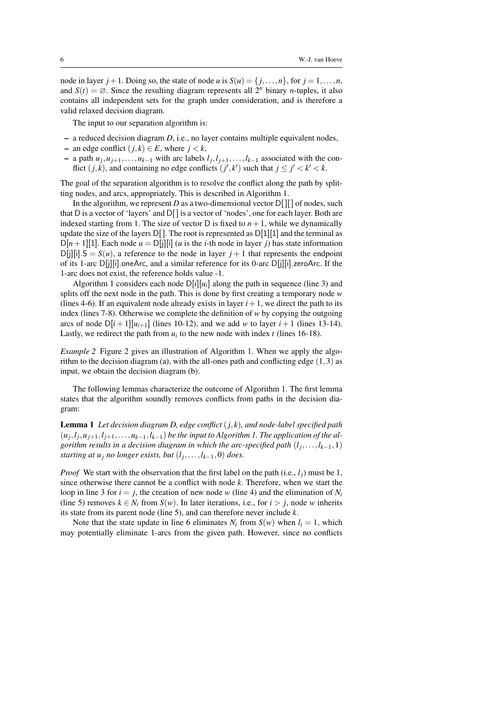node in layer  $j + 1$ . Doing so, the state of node *u* is  $S(u) = \{j, ..., n\}$ , for  $j = 1, ..., n$ , and  $S(t) = \emptyset$ . Since the resulting diagram represents all  $2^n$  binary *n*-tuples, it also contains all independent sets for the graph under consideration, and is therefore a valid relaxed decision diagram.

The input to our separation algorithm is:

- a reduced decision diagram *D*, i.e., no layer contains multiple equivalent nodes,
- an edge conflict (*j*, *k*) ∈ *E*, where *j* < *k*,
- − a path  $u_j, u_{j+1}, \ldots, u_{k-1}$  with arc labels  $l_j, l_{j+1}, \ldots, l_{k-1}$  associated with the conflict  $(j, k)$ , and containing no edge conflicts  $(j', k')$  such that  $j \leq j' < k' < k$ .

The goal of the separation algorithm is to resolve the conflict along the path by splitting nodes, and arcs, appropriately. This is described in Algorithm 1.

In the algorithm, we represent *D* as a two-dimensional vector  $D[$  [ $\vert \vert$ ] of nodes, such that D is a vector of 'layers' and  $D[$  is a vector of 'nodes', one for each layer. Both are indexed starting from 1. The size of vector D is fixed to  $n+1$ , while we dynamically update the size of the layers  $D[$ ]. The root is represented as  $D[1][1]$  and the terminal as  $D[n+1][1]$ . Each node  $u = D[j][i]$  (*u* is the *i*-th node in layer *j*) has state information  $D[i][i]$ .  $S = S(u)$ , a reference to the node in layer  $j + 1$  that represents the endpoint of its 1-arc  $D[i][i]$ .oneArc, and a similar reference for its 0-arc  $D[i][i]$ .zeroArc. If the 1-arc does not exist, the reference holds value -1.

Algorithm 1 considers each node  $D[i][u_i]$  along the path in sequence (line 3) and splits off the next node in the path. This is done by first creating a temporary node *w* (lines 4-6). If an equivalent node already exists in layer  $i + 1$ , we direct the path to its index (lines 7-8). Otherwise we complete the definition of *w* by copying the outgoing arcs of node  $D[i+1][u_{i+1}]$  (lines 10-12), and we add *w* to layer  $i+1$  (lines 13-14). Lastly, we redirect the path from  $u_i$  to the new node with index  $t$  (lines 16-18).

*Example 2* Figure 2 gives an illustration of Algorithm 1. When we apply the algorithm to the decision diagram (a), with the all-ones path and conflicting edge  $(1,3)$  as input, we obtain the decision diagram (b).

The following lemmas characterize the outcome of Algorithm 1. The first lemma states that the algorithm soundly removes conflicts from paths in the decision diagram:

Lemma 1 *Let decision diagram D, edge conflict* (*j*, *k*)*, and node-label specified path*  $(u_j, l_j, u_{j+1}, l_{j+1}, \ldots, u_{k-1}, l_{k-1})$  be the input to Algorithm 1. The application of the al*gorithm results in a decision diagram in which the arc-specified path* (*l<sup>j</sup>* ,...,*lk*−1,1) *starting at u<sup>j</sup> no longer exists, but* (*l<sup>j</sup>* ,...,*lk*−1,0) *does.*

*Proof* We start with the observation that the first label on the path (i.e.,  $l_i$ ) must be 1, since otherwise there cannot be a conflict with node *k*. Therefore, when we start the loop in line 3 for  $i = j$ , the creation of new node *w* (line 4) and the elimination of  $N_i$ (line 5) removes  $k \in N_i$  from  $S(w)$ . In later iterations, i.e., for  $i > j$ , node *w* inherits its state from its parent node (line 5), and can therefore never include *k*.

Note that the state update in line 6 eliminates  $N_i$  from  $S(w)$  when  $l_i = 1$ , which may potentially eliminate 1-arcs from the given path. However, since no conflicts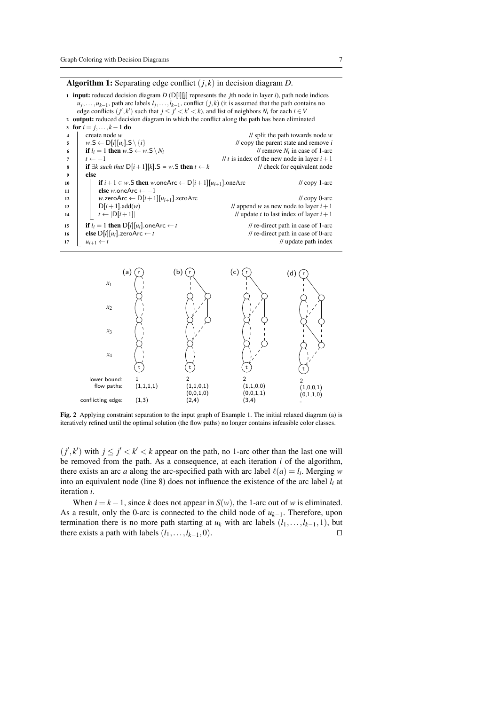Algorithm 1: Separating edge conflict (*j*, *k*) in decision diagram *D*.

<sup>1</sup> input: reduced decision diagram *D* (D[i][j] represents the *j*th node in layer *i*), path node indices  $u_j, \ldots, u_{k-1}$ , path arc labels  $l_j, \ldots, l_{k-1}$ , conflict  $(j, k)$  (it is assumed that the path contains no edge conflicts  $(j', k')$  such that  $j \leq j' < k' < k$ , and list of neighbors  $N_i$  for each  $i \in V$ <sup>2</sup> output: reduced decision diagram in which the conflict along the path has been eliminated 3 for  $i = j, ..., k - 1$  do 4 create node *w* // split the path towards node *w*<br>5 *w*.S  $\leftarrow$  D[i][u<sub>i</sub>].S  $\{i\}$  // copy the parent state and remove *i*  $\mathbf{v} = \mathbf{v} \times \mathbf{v} = \mathbf{v} \times \mathbf{v} = \mathbf{v} \times \mathbf{v} = \mathbf{v} \times \mathbf{v} = \mathbf{v} \times \mathbf{v} = \mathbf{v} \times \mathbf{v} = \mathbf{v} \times \mathbf{v} = \mathbf{v} \times \mathbf{v} = \mathbf{v} \times \mathbf{v} = \mathbf{v} \times \mathbf{v} = \mathbf{v} \times \mathbf{v} = \mathbf{v} \times \mathbf{v} = \mathbf{v} \times \mathbf{v} = \mathbf{v} \times \mathbf{v} = \mathbf$ 6 if  $l_i = 1$  then  $w.S \leftarrow w.S \setminus N_i$ <br>  $t \leftarrow -1$  $\frac{1}{i}$  remove  $N_i$  in case of 1-arc  $\frac{1}{t}$  *t* is index of the new node in layer  $i+1$ 8 if  $\exists k$  such that  $D[i+1][k]$ . S = w.S then  $t \leftarrow k$  // check for equivalent node <sup>9</sup> else 10 if  $i+1 \in w$ .S then  $w$ .oneArc  $\leftarrow D[i+1][u_{i+1}]$ .oneArc // copy 1-arc <br>11 else  $w$ .oneArc  $\leftarrow -1$ <sup>11</sup> else *w*.oneArc ← −1 12 *w.*zeroArc ← D[*i* + 1][*u<sub>i+1</sub>*].zeroArc // copy 0-arc // copy 0-arc // copy 0-arc // copy 0-arc // append *w* as new node to layer *i* + 1  $D[i+1]$ .add(*w*) // append *w* as new node to layer  $i+1$ <br> $N \leftarrow |D[i+1]|$  // update *t* to last index of layer  $i+1$ 14  $t \leftarrow |D[i+1]|$  // update *t* to last index of layer  $i+1$ 15 if  $l_i = 1$  then  $D[i][u_i]$ .oneArc ← *t* // re-direct path in case of 1-arc <br>
16 **else**  $D[i][u_i]$ .zeroArc ← *t* // re-direct path in case of 0-arc 16 **else**  $D[i][u_i]$ .zeroArc ← *t* // re-direct path in case of 0-arc // update path index // update path index  $1/1$  update path index



Fig. 2 Applying constraint separation to the input graph of Example 1. The initial relaxed diagram (a) is iteratively refined until the optimal solution (the flow paths) no longer contains infeasible color classes.

 $(j',k')$  with  $j \leq j' < k' < k$  appear on the path, no 1-arc other than the last one will be removed from the path. As a consequence, at each iteration *i* of the algorithm, there exists an arc *a* along the arc-specified path with arc label  $\ell(a) = l_i$ . Merging *w* into an equivalent node (line 8) does not influence the existence of the arc label  $l_i$  at iteration *i*.

When  $i = k - 1$ , since k does not appear in  $S(w)$ , the 1-arc out of w is eliminated. As a result, only the 0-arc is connected to the child node of *uk*−1. Therefore, upon termination there is no more path starting at  $u_k$  with arc labels  $(l_1, \ldots, l_{k-1}, 1)$ , but there exists a path with labels  $(l_1, \ldots, l_{k-1}, 0)$ .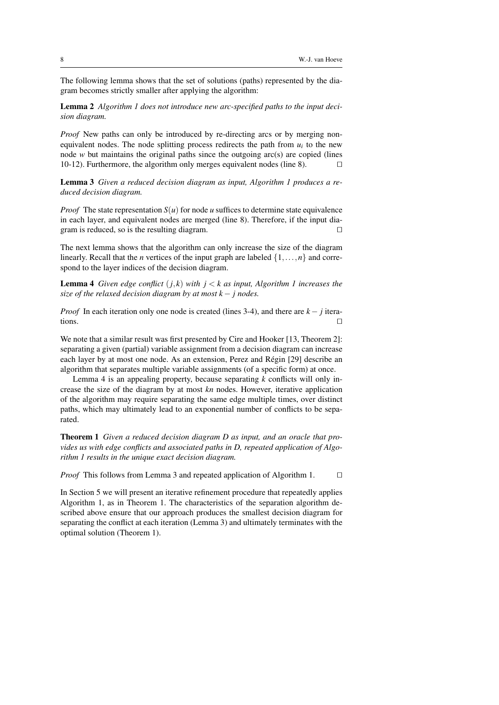The following lemma shows that the set of solutions (paths) represented by the diagram becomes strictly smaller after applying the algorithm:

Lemma 2 *Algorithm 1 does not introduce new arc-specified paths to the input decision diagram.*

*Proof* New paths can only be introduced by re-directing arcs or by merging nonequivalent nodes. The node splitting process redirects the path from  $u_i$  to the new node *w* but maintains the original paths since the outgoing arc(s) are copied (lines 10-12). Furthermore, the algorithm only merges equivalent nodes (line 8).  $\Box$ 

Lemma 3 *Given a reduced decision diagram as input, Algorithm 1 produces a reduced decision diagram.*

*Proof* The state representation  $S(u)$  for node *u* suffices to determine state equivalence in each layer, and equivalent nodes are merged (line 8). Therefore, if the input diagram is reduced, so is the resulting diagram.  $\Box$ 

The next lemma shows that the algorithm can only increase the size of the diagram linearly. Recall that the *n* vertices of the input graph are labeled  $\{1, \ldots, n\}$  and correspond to the layer indices of the decision diagram.

**Lemma 4** *Given edge conflict*  $(j, k)$  *with*  $j < k$  *as input, Algorithm 1 increases the size of the relaxed decision diagram by at most k* − *j nodes.*

*Proof* In each iteration only one node is created (lines 3-4), and there are *k*− *j* iterations.  $\Box$ 

We note that a similar result was first presented by Cire and Hooker [13, Theorem 2]: separating a given (partial) variable assignment from a decision diagram can increase each layer by at most one node. As an extension, Perez and Régin [29] describe an algorithm that separates multiple variable assignments (of a specific form) at once.

Lemma 4 is an appealing property, because separating *k* conflicts will only increase the size of the diagram by at most *kn* nodes. However, iterative application of the algorithm may require separating the same edge multiple times, over distinct paths, which may ultimately lead to an exponential number of conflicts to be separated.

Theorem 1 *Given a reduced decision diagram D as input, and an oracle that provides us with edge conflicts and associated paths in D, repeated application of Algorithm 1 results in the unique exact decision diagram.*

*Proof* This follows from Lemma 3 and repeated application of Algorithm 1.  $\Box$ 

In Section 5 we will present an iterative refinement procedure that repeatedly applies Algorithm 1, as in Theorem 1. The characteristics of the separation algorithm described above ensure that our approach produces the smallest decision diagram for separating the conflict at each iteration (Lemma 3) and ultimately terminates with the optimal solution (Theorem 1).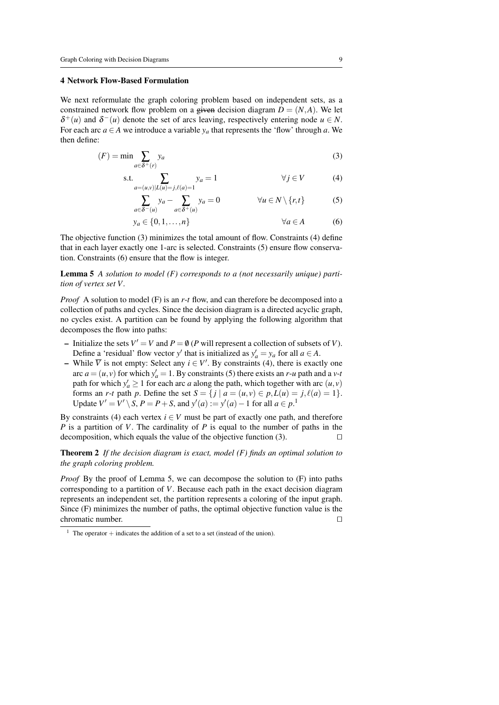### 4 Network Flow-Based Formulation

We next reformulate the graph coloring problem based on independent sets, as a constrained network flow problem on a given decision diagram  $D = (N, A)$ . We let  $\delta^+(u)$  and  $\delta^-(u)$  denote the set of arcs leaving, respectively entering node  $u \in N$ . For each arc  $a \in A$  we introduce a variable  $y_a$  that represents the 'flow' through a. We then define:

$$
(F) = \min \sum_{a \in \delta^+(r)} y_a \tag{3}
$$

s.t. 
$$
\sum_{a=(u,v)|L(u)=j,\ell(a)=1} y_a = 1 \qquad \forall j \in V
$$
 (4)

$$
\sum_{a \in \delta^-(u)} y_a - \sum_{a \in \delta^+(u)} y_a = 0 \qquad \forall u \in N \setminus \{r, t\} \tag{5}
$$

$$
y_a \in \{0, 1, \dots, n\} \qquad \forall a \in A \tag{6}
$$

The objective function (3) minimizes the total amount of flow. Constraints (4) define that in each layer exactly one 1-arc is selected. Constraints (5) ensure flow conservation. Constraints (6) ensure that the flow is integer.

Lemma 5 *A solution to model (F) corresponds to a (not necessarily unique) partition of vertex set V .*

*Proof* A solution to model (F) is an *r*-*t* flow, and can therefore be decomposed into a collection of paths and cycles. Since the decision diagram is a directed acyclic graph, no cycles exist. A partition can be found by applying the following algorithm that decomposes the flow into paths:

- Initialize the sets  $V' = V$  and  $P = \emptyset$  (*P* will represent a collection of subsets of *V*). Define a 'residual' flow vector *y'* that is initialized as  $y'_a = y_a$  for all  $a \in A$ .
- $\overline{V}$  is not empty: Select any *i* ∈ *V'*. By constraints (4), there is exactly one arc  $a = (u, v)$  for which  $y'_a = 1$ . By constraints (5) there exists an *r*-*u* path and a *v*-*t* path for which  $y'_a \ge 1$  for each arc *a* along the path, which together with arc  $(u, v)$ forms an *r*-*t* path *p*. Define the set  $S = \{ j \mid a = (u, v) \in p, L(u) = j, \ell(a) = 1 \}.$ Update *V*<sup> $'$ </sup> = *V*<sup> $'$ </sup> \ *S*, *P* = *P* + *S*, and *y*<sup> $'$ </sup>(*a*) := *y*<sup> $'$ </sup>(*a*) − 1 for all *a* ∈ *p*.<sup>1</sup>

By constraints (4) each vertex  $i \in V$  must be part of exactly one path, and therefore *P* is a partition of *V*. The cardinality of *P* is equal to the number of paths in the decomposition, which equals the value of the objective function  $(3)$ .

Theorem 2 *If the decision diagram is exact, model (F) finds an optimal solution to the graph coloring problem.*

*Proof* By the proof of Lemma 5, we can decompose the solution to (F) into paths corresponding to a partition of *V*. Because each path in the exact decision diagram represents an independent set, the partition represents a coloring of the input graph. Since (F) minimizes the number of paths, the optimal objective function value is the chromatic number.  $\Box$ 

<sup>&</sup>lt;sup>1</sup> The operator  $+$  indicates the addition of a set to a set (instead of the union).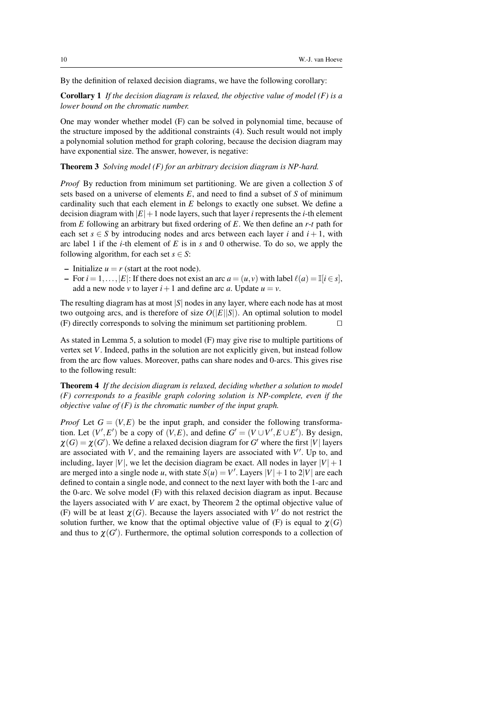By the definition of relaxed decision diagrams, we have the following corollary:

Corollary 1 *If the decision diagram is relaxed, the objective value of model (F) is a lower bound on the chromatic number.*

One may wonder whether model (F) can be solved in polynomial time, because of the structure imposed by the additional constraints (4). Such result would not imply a polynomial solution method for graph coloring, because the decision diagram may have exponential size. The answer, however, is negative:

Theorem 3 *Solving model (F) for an arbitrary decision diagram is NP-hard.*

*Proof* By reduction from minimum set partitioning. We are given a collection *S* of sets based on a universe of elements *E*, and need to find a subset of *S* of minimum cardinality such that each element in *E* belongs to exactly one subset. We define a decision diagram with  $|E|+1$  node layers, such that layer *i* represents the *i*-th element from *E* following an arbitrary but fixed ordering of *E*. We then define an *r*-*t* path for each set  $s \in S$  by introducing nodes and arcs between each layer *i* and  $i + 1$ , with arc label 1 if the *i*-th element of *E* is in *s* and 0 otherwise. To do so, we apply the following algorithm, for each set  $s \in S$ :

- Initialize  $u = r$  (start at the root node).
- For  $i = 1, \ldots, |E|$ : If there does not exist an arc  $a = (u, v)$  with label  $\ell(a) = \mathbb{I}[i \in s]$ , add a new node *v* to layer  $i+1$  and define arc *a*. Update  $u = v$ .

The resulting diagram has at most |*S*| nodes in any layer, where each node has at most two outgoing arcs, and is therefore of size  $O(|E||S|)$ . An optimal solution to model  $(F)$  directly corresponds to solving the minimum set partitioning problem.  $\Box$ 

As stated in Lemma 5, a solution to model (F) may give rise to multiple partitions of vertex set *V*. Indeed, paths in the solution are not explicitly given, but instead follow from the arc flow values. Moreover, paths can share nodes and 0-arcs. This gives rise to the following result:

Theorem 4 *If the decision diagram is relaxed, deciding whether a solution to model (F) corresponds to a feasible graph coloring solution is NP-complete, even if the objective value of (F) is the chromatic number of the input graph.*

*Proof* Let  $G = (V, E)$  be the input graph, and consider the following transformation. Let  $(V', E')$  be a copy of  $(V, E)$ , and define  $G' = (V \cup V', E \cup E')$ . By design,  $\chi(G) = \chi(G')$ . We define a relaxed decision diagram for *G*' where the first |*V*| layers are associated with  $V$ , and the remaining layers are associated with  $V'$ . Up to, and including, layer  $|V|$ , we let the decision diagram be exact. All nodes in layer  $|V|+1$ are merged into a single node *u*, with state  $S(u) = V'$ . Layers  $|V| + 1$  to  $2|V|$  are each defined to contain a single node, and connect to the next layer with both the 1-arc and the 0-arc. We solve model (F) with this relaxed decision diagram as input. Because the layers associated with *V* are exact, by Theorem 2 the optimal objective value of (F) will be at least  $\chi(G)$ . Because the layers associated with  $V'$  do not restrict the solution further, we know that the optimal objective value of  $(F)$  is equal to  $\chi(G)$ and thus to  $\chi(G')$ . Furthermore, the optimal solution corresponds to a collection of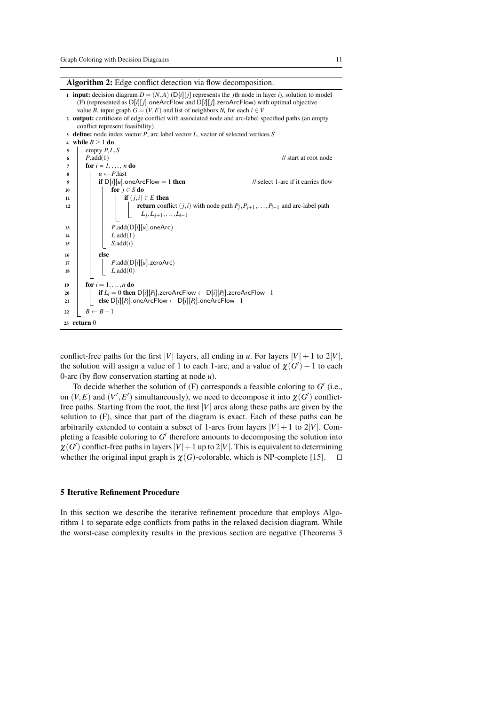Algorithm 2: Edge conflict detection via flow decomposition.



conflict-free paths for the first |*V*| layers, all ending in *u*. For layers  $|V| + 1$  to  $2|V|$ , the solution will assign a value of 1 to each 1-arc, and a value of  $\chi(G') - 1$  to each 0-arc (by flow conservation starting at node *u*).

To decide whether the solution of  $(F)$  corresponds a feasible coloring to  $G'$  (i.e., on  $(V, E)$  and  $(V', E')$  simultaneously), we need to decompose it into  $\chi(G')$  conflictfree paths. Starting from the root, the first |*V*| arcs along these paths are given by the solution to (F), since that part of the diagram is exact. Each of these paths can be arbitrarily extended to contain a subset of 1-arcs from layers  $|V| + 1$  to  $2|V|$ . Completing a feasible coloring to  $G'$  therefore amounts to decomposing the solution into  $\chi(G')$  conflict-free paths in layers  $|V|+1$  up to 2 $|V|$ . This is equivalent to determining whether the original input graph is  $\chi(G)$ -colorable, which is NP-complete [15].  $\square$ 

# 5 Iterative Refinement Procedure

In this section we describe the iterative refinement procedure that employs Algorithm 1 to separate edge conflicts from paths in the relaxed decision diagram. While the worst-case complexity results in the previous section are negative (Theorems 3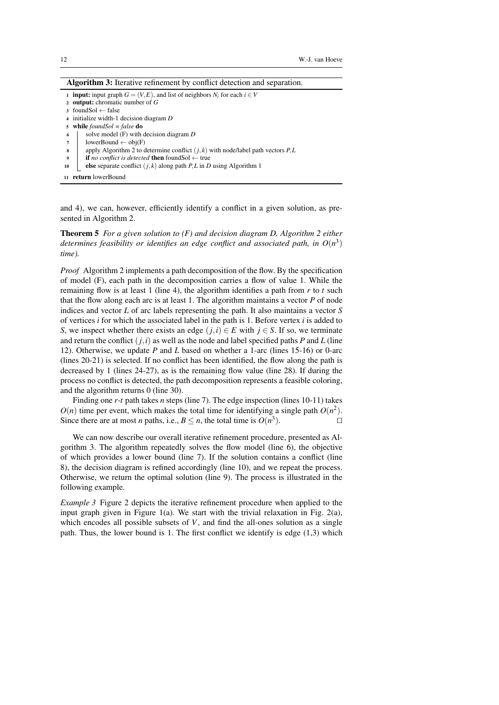| <b>Algorithm 3:</b> Iterative refinement by conflict detection and separation.            |
|-------------------------------------------------------------------------------------------|
| <b>1</b> input: input graph $G = (V, E)$ , and list of neighbors $N_i$ for each $i \in V$ |
| 2 output: chromatic number of $G$                                                         |
| $\alpha$ foundSol $\leftarrow$ false                                                      |
| 4 initialize width-1 decision diagram $D$                                                 |
| 5 while $foundSol = false$ do                                                             |
| solve model $(F)$ with decision diagram $D$<br>6                                          |
| lowerBound $\leftarrow$ obj(F)<br>7                                                       |
| apply Algorithm 2 to determine conflict $(j, k)$ with node/label path vectors P, L<br>8   |
| <b>if</b> no conflict is detected <b>then</b> foundSol $\leftarrow$ true<br>9             |
| else separate conflict $(j,k)$ along path P, L in D using Algorithm 1<br>10               |
| return lowerBound                                                                         |

and 4), we can, however, efficiently identify a conflict in a given solution, as presented in Algorithm 2.

Theorem 5 *For a given solution to (F) and decision diagram D, Algorithm 2 either* determines feasibility or identifies an edge conflict and associated path, in  $O(n^3)$ *time).*

*Proof* Algorithm 2 implements a path decomposition of the flow. By the specification of model (F), each path in the decomposition carries a flow of value 1. While the remaining flow is at least 1 (line 4), the algorithm identifies a path from *r* to *t* such that the flow along each arc is at least 1. The algorithm maintains a vector *P* of node indices and vector *L* of arc labels representing the path. It also maintains a vector *S* of vertices *i* for which the associated label in the path is 1. Before vertex *i* is added to *S*, we inspect whether there exists an edge  $(j,i) \in E$  with  $j \in S$ . If so, we terminate and return the conflict  $(j, i)$  as well as the node and label specified paths *P* and *L* (line 12). Otherwise, we update *P* and *L* based on whether a 1-arc (lines 15-16) or 0-arc (lines 20-21) is selected. If no conflict has been identified, the flow along the path is decreased by 1 (lines 24-27), as is the remaining flow value (line 28). If during the process no conflict is detected, the path decomposition represents a feasible coloring, and the algorithm returns 0 (line 30).

Finding one *r*-*t* path takes *n* steps (line 7). The edge inspection (lines 10-11) takes  $O(n)$  time per event, which makes the total time for identifying a single path  $O(n^2)$ . Since there are at most *n* paths, i.e.,  $B \le n$ , the total time is  $O(n^3)$ ).  $\qquad \qquad \Box$ 

We can now describe our overall iterative refinement procedure, presented as Algorithm 3. The algorithm repeatedly solves the flow model (line 6), the objective of which provides a lower bound (line 7). If the solution contains a conflict (line 8), the decision diagram is refined accordingly (line 10), and we repeat the process. Otherwise, we return the optimal solution (line 9). The process is illustrated in the following example.

*Example 3* Figure 2 depicts the iterative refinement procedure when applied to the input graph given in Figure 1(a). We start with the trivial relaxation in Fig. 2(a), which encodes all possible subsets of *V*, and find the all-ones solution as a single path. Thus, the lower bound is 1. The first conflict we identify is edge  $(1,3)$  which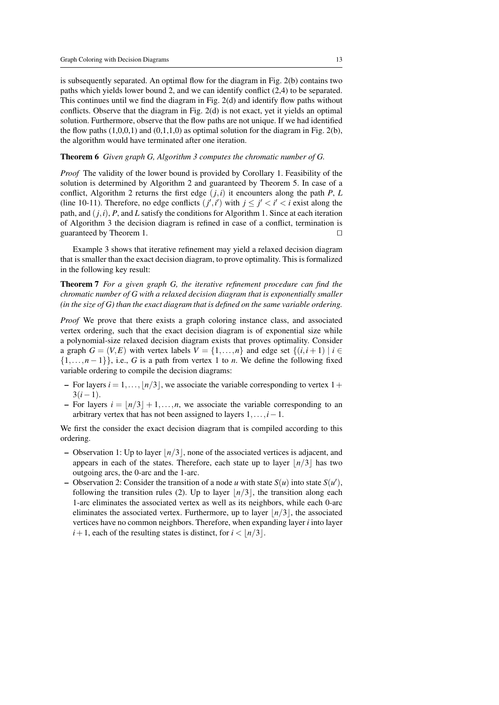is subsequently separated. An optimal flow for the diagram in Fig. 2(b) contains two paths which yields lower bound 2, and we can identify conflict (2,4) to be separated. This continues until we find the diagram in Fig. 2(d) and identify flow paths without conflicts. Observe that the diagram in Fig. 2(d) is not exact, yet it yields an optimal solution. Furthermore, observe that the flow paths are not unique. If we had identified the flow paths  $(1,0,0,1)$  and  $(0,1,1,0)$  as optimal solution for the diagram in Fig. 2(b), the algorithm would have terminated after one iteration.

#### Theorem 6 *Given graph G, Algorithm 3 computes the chromatic number of G.*

*Proof* The validity of the lower bound is provided by Corollary 1. Feasibility of the solution is determined by Algorithm 2 and guaranteed by Theorem 5. In case of a conflict, Algorithm 2 returns the first edge  $(j, i)$  it encounters along the path *P*, *L* (line 10-11). Therefore, no edge conflicts  $(j', i')$  with  $j \leq j' < i' < i$  exist along the path, and  $(j, i)$ ,  $P$ , and  $L$  satisfy the conditions for Algorithm 1. Since at each iteration of Algorithm 3 the decision diagram is refined in case of a conflict, termination is guaranteed by Theorem 1.  $\Box$ 

Example 3 shows that iterative refinement may yield a relaxed decision diagram that is smaller than the exact decision diagram, to prove optimality. This is formalized in the following key result:

Theorem 7 *For a given graph G, the iterative refinement procedure can find the chromatic number of G with a relaxed decision diagram that is exponentially smaller (in the size of G) than the exact diagram that is defined on the same variable ordering.*

*Proof* We prove that there exists a graph coloring instance class, and associated vertex ordering, such that the exact decision diagram is of exponential size while a polynomial-size relaxed decision diagram exists that proves optimality. Consider a graph  $G = (V, E)$  with vertex labels  $V = \{1, \ldots, n\}$  and edge set  $\{(i, i + 1) \mid i \in$  $\{1,\ldots,n-1\}$ , i.e., *G* is a path from vertex 1 to *n*. We define the following fixed variable ordering to compile the decision diagrams:

- For layers  $i = 1, \ldots, \lfloor n/3 \rfloor$ , we associate the variable corresponding to vertex  $1 +$  $3(i-1)$ .
- For layers  $i = |n/3| + 1, \ldots, n$ , we associate the variable corresponding to an arbitrary vertex that has not been assigned to layers 1,...,*i*−1.

We first the consider the exact decision diagram that is compiled according to this ordering.

- Observation 1: Up to layer  $\vert n/3 \vert$ , none of the associated vertices is adjacent, and appears in each of the states. Therefore, each state up to layer  $\lfloor n/3 \rfloor$  has two outgoing arcs, the 0-arc and the 1-arc.
- Observation 2: Consider the transition of a node *u* with state  $S(u)$  into state  $S(u')$ , following the transition rules (2). Up to layer  $\lfloor n/3 \rfloor$ , the transition along each 1-arc eliminates the associated vertex as well as its neighbors, while each 0-arc eliminates the associated vertex. Furthermore, up to layer  $\vert n/3 \vert$ , the associated vertices have no common neighbors. Therefore, when expanding layer *i* into layer  $i+1$ , each of the resulting states is distinct, for  $i < |n/3|$ .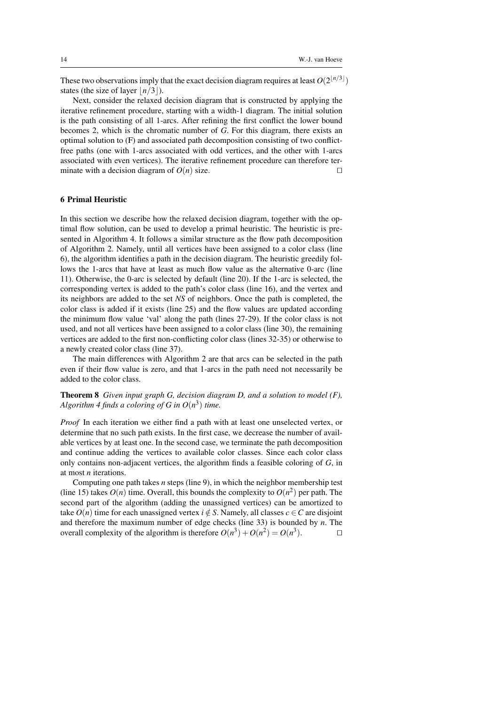These two observations imply that the exact decision diagram requires at least  $O(2^{\lfloor n/3 \rfloor})$ states (the size of layer  $\lfloor n/3 \rfloor$ ).

Next, consider the relaxed decision diagram that is constructed by applying the iterative refinement procedure, starting with a width-1 diagram. The initial solution is the path consisting of all 1-arcs. After refining the first conflict the lower bound becomes 2, which is the chromatic number of *G*. For this diagram, there exists an optimal solution to (F) and associated path decomposition consisting of two conflictfree paths (one with 1-arcs associated with odd vertices, and the other with 1-arcs associated with even vertices). The iterative refinement procedure can therefore terminate with a decision diagram of  $O(n)$  size.

# 6 Primal Heuristic

In this section we describe how the relaxed decision diagram, together with the optimal flow solution, can be used to develop a primal heuristic. The heuristic is presented in Algorithm 4. It follows a similar structure as the flow path decomposition of Algorithm 2. Namely, until all vertices have been assigned to a color class (line 6), the algorithm identifies a path in the decision diagram. The heuristic greedily follows the 1-arcs that have at least as much flow value as the alternative 0-arc (line 11). Otherwise, the 0-arc is selected by default (line 20). If the 1-arc is selected, the corresponding vertex is added to the path's color class (line 16), and the vertex and its neighbors are added to the set *NS* of neighbors. Once the path is completed, the color class is added if it exists (line 25) and the flow values are updated according the minimum flow value 'val' along the path (lines 27-29). If the color class is not used, and not all vertices have been assigned to a color class (line 30), the remaining vertices are added to the first non-conflicting color class (lines 32-35) or otherwise to a newly created color class (line 37).

The main differences with Algorithm 2 are that arcs can be selected in the path even if their flow value is zero, and that 1-arcs in the path need not necessarily be added to the color class.

# Theorem 8 *Given input graph G, decision diagram D, and a solution to model (F),* Algorithm 4 finds a coloring of  $G$  in  $O(n^3)$  time.

*Proof* In each iteration we either find a path with at least one unselected vertex, or determine that no such path exists. In the first case, we decrease the number of available vertices by at least one. In the second case, we terminate the path decomposition and continue adding the vertices to available color classes. Since each color class only contains non-adjacent vertices, the algorithm finds a feasible coloring of *G*, in at most *n* iterations.

Computing one path takes *n* steps (line 9), in which the neighbor membership test (line 15) takes  $O(n)$  time. Overall, this bounds the complexity to  $O(n^2)$  per path. The second part of the algorithm (adding the unassigned vertices) can be amortized to take  $O(n)$  time for each unassigned vertex  $i \notin S$ . Namely, all classes  $c \in C$  are disjoint and therefore the maximum number of edge checks (line 33) is bounded by *n*. The overall complexity of the algorithm is therefore  $O(n^3) + O(n^2) = O(n^3)$  $\Box$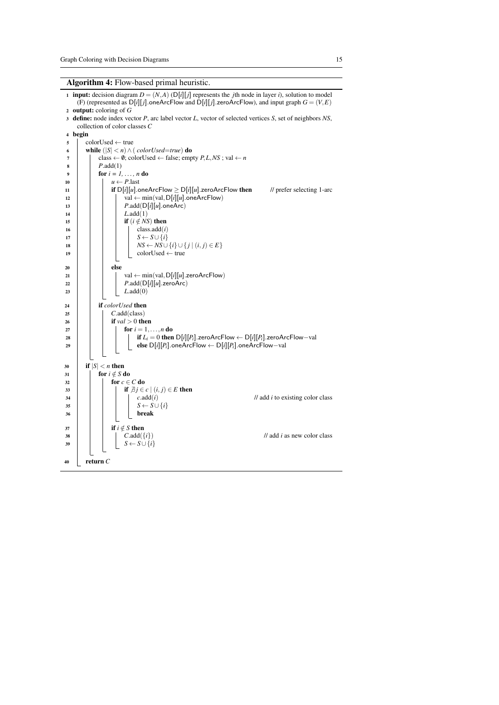Algorithm 4: Flow-based primal heuristic.

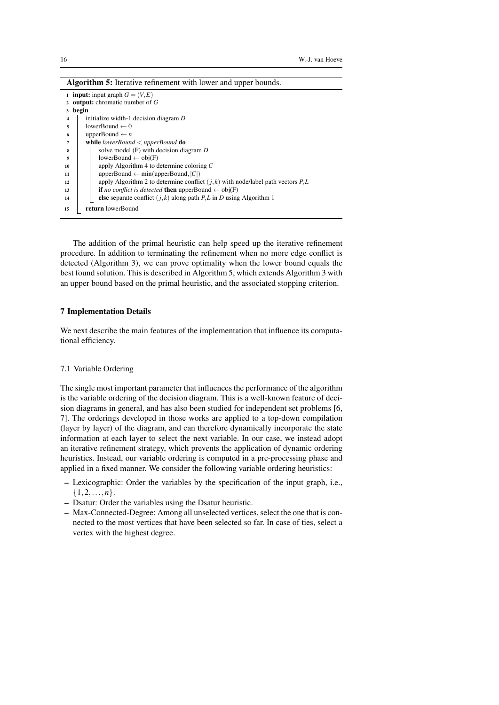| <b>Algorithm 5:</b> Iterative refinement with lower and upper bounds.                    |  |
|------------------------------------------------------------------------------------------|--|
| <b>1</b> input: input graph $G = (V, E)$                                                 |  |
| 2 output: chromatic number of $G$                                                        |  |
| 3 begin                                                                                  |  |
| initialize width-1 decision diagram D<br>4                                               |  |
| lowerBound $\leftarrow 0$<br>5                                                           |  |
| upperBound $\leftarrow$ <i>n</i><br>6                                                    |  |
| while lowerBound $\langle$ upperBound do<br>7                                            |  |
| solve model $(F)$ with decision diagram $D$<br>8                                         |  |
| lowerBound $\leftarrow$ obj(F)<br>9                                                      |  |
| apply Algorithm 4 to determine coloring $C$<br>10                                        |  |
| upperBound $\leftarrow$ min(upperBound, $ C $ )<br>11                                    |  |
| apply Algorithm 2 to determine conflict $(j, k)$ with node/label path vectors P, L<br>12 |  |
| <b>if</b> no conflict is detected <b>then</b> upperBound $\leftarrow$ obj(F)<br>13       |  |
| else separate conflict $(j, k)$ along path P, L in D using Algorithm 1<br>14             |  |
| <b>return</b> lowerBound<br>15                                                           |  |

The addition of the primal heuristic can help speed up the iterative refinement procedure. In addition to terminating the refinement when no more edge conflict is detected (Algorithm 3), we can prove optimality when the lower bound equals the best found solution. This is described in Algorithm 5, which extends Algorithm 3 with an upper bound based on the primal heuristic, and the associated stopping criterion.

# 7 Implementation Details

We next describe the main features of the implementation that influence its computational efficiency.

# 7.1 Variable Ordering

The single most important parameter that influences the performance of the algorithm is the variable ordering of the decision diagram. This is a well-known feature of decision diagrams in general, and has also been studied for independent set problems [6, 7]. The orderings developed in those works are applied to a top-down compilation (layer by layer) of the diagram, and can therefore dynamically incorporate the state information at each layer to select the next variable. In our case, we instead adopt an iterative refinement strategy, which prevents the application of dynamic ordering heuristics. Instead, our variable ordering is computed in a pre-processing phase and applied in a fixed manner. We consider the following variable ordering heuristics:

- Lexicographic: Order the variables by the specification of the input graph, i.e., {1,2,...,*n*}.
- Dsatur: Order the variables using the Dsatur heuristic.
- Max-Connected-Degree: Among all unselected vertices, select the one that is connected to the most vertices that have been selected so far. In case of ties, select a vertex with the highest degree.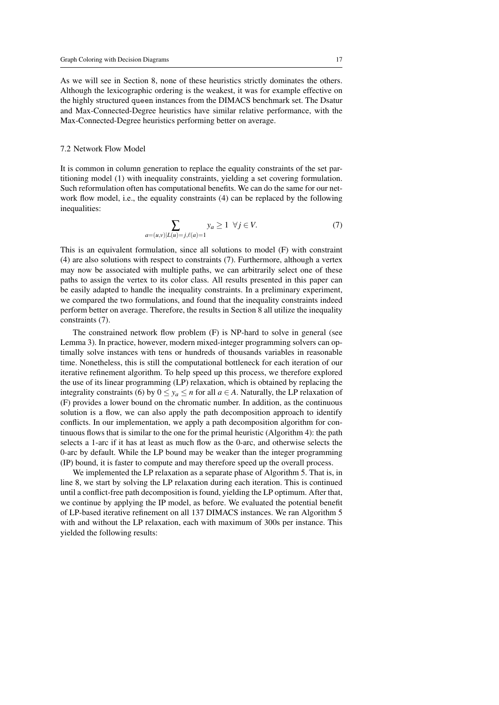As we will see in Section 8, none of these heuristics strictly dominates the others. Although the lexicographic ordering is the weakest, it was for example effective on the highly structured queen instances from the DIMACS benchmark set. The Dsatur and Max-Connected-Degree heuristics have similar relative performance, with the Max-Connected-Degree heuristics performing better on average.

#### 7.2 Network Flow Model

It is common in column generation to replace the equality constraints of the set partitioning model (1) with inequality constraints, yielding a set covering formulation. Such reformulation often has computational benefits. We can do the same for our network flow model, i.e., the equality constraints (4) can be replaced by the following inequalities:

$$
\sum_{a=(u,v)|L(u)=j,\ell(a)=1} y_a \ge 1 \ \forall j \in V. \tag{7}
$$

This is an equivalent formulation, since all solutions to model (F) with constraint (4) are also solutions with respect to constraints (7). Furthermore, although a vertex may now be associated with multiple paths, we can arbitrarily select one of these paths to assign the vertex to its color class. All results presented in this paper can be easily adapted to handle the inequality constraints. In a preliminary experiment, we compared the two formulations, and found that the inequality constraints indeed perform better on average. Therefore, the results in Section 8 all utilize the inequality constraints (7).

The constrained network flow problem (F) is NP-hard to solve in general (see Lemma 3). In practice, however, modern mixed-integer programming solvers can optimally solve instances with tens or hundreds of thousands variables in reasonable time. Nonetheless, this is still the computational bottleneck for each iteration of our iterative refinement algorithm. To help speed up this process, we therefore explored the use of its linear programming (LP) relaxation, which is obtained by replacing the integrality constraints (6) by  $0 \le y_a \le n$  for all  $a \in A$ . Naturally, the LP relaxation of (F) provides a lower bound on the chromatic number. In addition, as the continuous solution is a flow, we can also apply the path decomposition approach to identify conflicts. In our implementation, we apply a path decomposition algorithm for continuous flows that is similar to the one for the primal heuristic (Algorithm 4): the path selects a 1-arc if it has at least as much flow as the 0-arc, and otherwise selects the 0-arc by default. While the LP bound may be weaker than the integer programming (IP) bound, it is faster to compute and may therefore speed up the overall process.

We implemented the LP relaxation as a separate phase of Algorithm 5. That is, in line 8, we start by solving the LP relaxation during each iteration. This is continued until a conflict-free path decomposition is found, yielding the LP optimum. After that, we continue by applying the IP model, as before. We evaluated the potential benefit of LP-based iterative refinement on all 137 DIMACS instances. We ran Algorithm 5 with and without the LP relaxation, each with maximum of 300s per instance. This yielded the following results: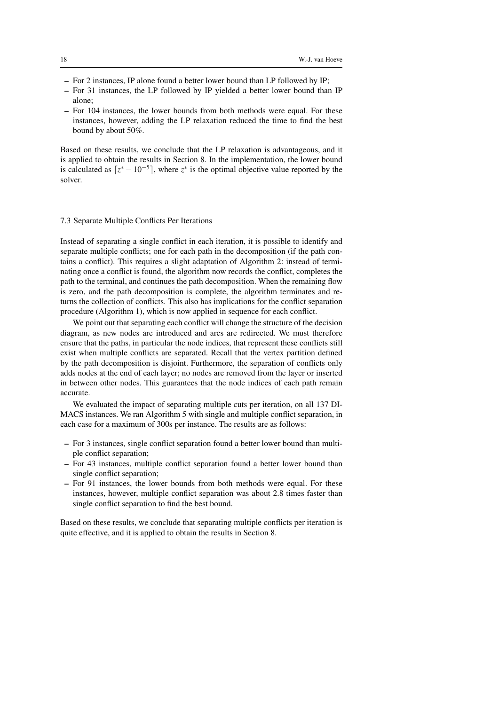- For 2 instances, IP alone found a better lower bound than LP followed by IP;
- For 31 instances, the LP followed by IP yielded a better lower bound than IP alone;
- For 104 instances, the lower bounds from both methods were equal. For these instances, however, adding the LP relaxation reduced the time to find the best bound by about 50%.

Based on these results, we conclude that the LP relaxation is advantageous, and it is applied to obtain the results in Section 8. In the implementation, the lower bound is calculated as  $\left[ z^* - 10^{-5} \right]$ , where  $z^*$  is the optimal objective value reported by the solver.

# 7.3 Separate Multiple Conflicts Per Iterations

Instead of separating a single conflict in each iteration, it is possible to identify and separate multiple conflicts; one for each path in the decomposition (if the path contains a conflict). This requires a slight adaptation of Algorithm 2: instead of terminating once a conflict is found, the algorithm now records the conflict, completes the path to the terminal, and continues the path decomposition. When the remaining flow is zero, and the path decomposition is complete, the algorithm terminates and returns the collection of conflicts. This also has implications for the conflict separation procedure (Algorithm 1), which is now applied in sequence for each conflict.

We point out that separating each conflict will change the structure of the decision diagram, as new nodes are introduced and arcs are redirected. We must therefore ensure that the paths, in particular the node indices, that represent these conflicts still exist when multiple conflicts are separated. Recall that the vertex partition defined by the path decomposition is disjoint. Furthermore, the separation of conflicts only adds nodes at the end of each layer; no nodes are removed from the layer or inserted in between other nodes. This guarantees that the node indices of each path remain accurate.

We evaluated the impact of separating multiple cuts per iteration, on all 137 DI-MACS instances. We ran Algorithm 5 with single and multiple conflict separation, in each case for a maximum of 300s per instance. The results are as follows:

- For 3 instances, single conflict separation found a better lower bound than multiple conflict separation;
- For 43 instances, multiple conflict separation found a better lower bound than single conflict separation;
- For 91 instances, the lower bounds from both methods were equal. For these instances, however, multiple conflict separation was about 2.8 times faster than single conflict separation to find the best bound.

Based on these results, we conclude that separating multiple conflicts per iteration is quite effective, and it is applied to obtain the results in Section 8.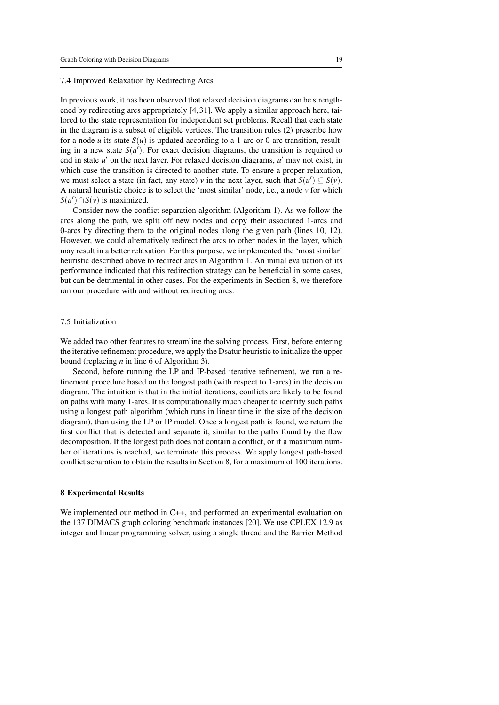#### 7.4 Improved Relaxation by Redirecting Arcs

In previous work, it has been observed that relaxed decision diagrams can be strengthened by redirecting arcs appropriately [4, 31]. We apply a similar approach here, tailored to the state representation for independent set problems. Recall that each state in the diagram is a subset of eligible vertices. The transition rules (2) prescribe how for a node *u* its state  $S(u)$  is updated according to a 1-arc or 0-arc transition, resulting in a new state  $S(u')$ . For exact decision diagrams, the transition is required to end in state *u'* on the next layer. For relaxed decision diagrams, *u'* may not exist, in which case the transition is directed to another state. To ensure a proper relaxation, we must select a state (in fact, any state) *v* in the next layer, such that  $S(u') \subseteq S(v)$ . A natural heuristic choice is to select the 'most similar' node, i.e., a node *v* for which  $S(u') \cap S(v)$  is maximized.

Consider now the conflict separation algorithm (Algorithm 1). As we follow the arcs along the path, we split off new nodes and copy their associated 1-arcs and 0-arcs by directing them to the original nodes along the given path (lines 10, 12). However, we could alternatively redirect the arcs to other nodes in the layer, which may result in a better relaxation. For this purpose, we implemented the 'most similar' heuristic described above to redirect arcs in Algorithm 1. An initial evaluation of its performance indicated that this redirection strategy can be beneficial in some cases, but can be detrimental in other cases. For the experiments in Section 8, we therefore ran our procedure with and without redirecting arcs.

# 7.5 Initialization

We added two other features to streamline the solving process. First, before entering the iterative refinement procedure, we apply the Dsatur heuristic to initialize the upper bound (replacing *n* in line 6 of Algorithm 3).

Second, before running the LP and IP-based iterative refinement, we run a refinement procedure based on the longest path (with respect to 1-arcs) in the decision diagram. The intuition is that in the initial iterations, conflicts are likely to be found on paths with many 1-arcs. It is computationally much cheaper to identify such paths using a longest path algorithm (which runs in linear time in the size of the decision diagram), than using the LP or IP model. Once a longest path is found, we return the first conflict that is detected and separate it, similar to the paths found by the flow decomposition. If the longest path does not contain a conflict, or if a maximum number of iterations is reached, we terminate this process. We apply longest path-based conflict separation to obtain the results in Section 8, for a maximum of 100 iterations.

# 8 Experimental Results

We implemented our method in C++, and performed an experimental evaluation on the 137 DIMACS graph coloring benchmark instances [20]. We use CPLEX 12.9 as integer and linear programming solver, using a single thread and the Barrier Method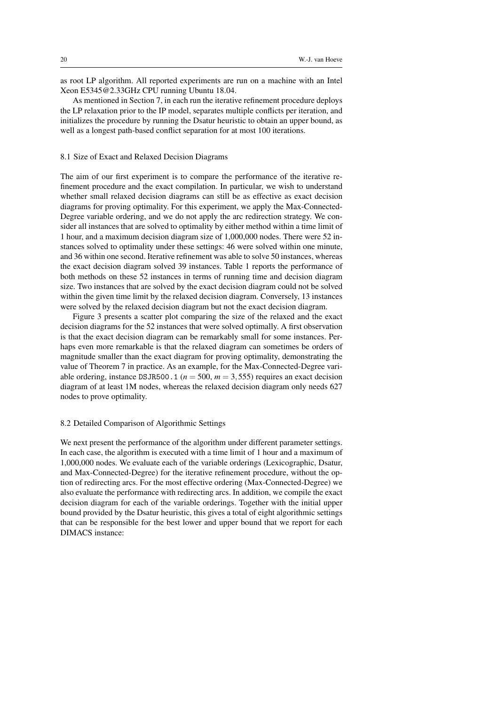as root LP algorithm. All reported experiments are run on a machine with an Intel Xeon E5345@2.33GHz CPU running Ubuntu 18.04.

As mentioned in Section 7, in each run the iterative refinement procedure deploys the LP relaxation prior to the IP model, separates multiple conflicts per iteration, and initializes the procedure by running the Dsatur heuristic to obtain an upper bound, as well as a longest path-based conflict separation for at most 100 iterations.

# 8.1 Size of Exact and Relaxed Decision Diagrams

The aim of our first experiment is to compare the performance of the iterative refinement procedure and the exact compilation. In particular, we wish to understand whether small relaxed decision diagrams can still be as effective as exact decision diagrams for proving optimality. For this experiment, we apply the Max-Connected-Degree variable ordering, and we do not apply the arc redirection strategy. We consider all instances that are solved to optimality by either method within a time limit of 1 hour, and a maximum decision diagram size of 1,000,000 nodes. There were 52 instances solved to optimality under these settings: 46 were solved within one minute, and 36 within one second. Iterative refinement was able to solve 50 instances, whereas the exact decision diagram solved 39 instances. Table 1 reports the performance of both methods on these 52 instances in terms of running time and decision diagram size. Two instances that are solved by the exact decision diagram could not be solved within the given time limit by the relaxed decision diagram. Conversely, 13 instances were solved by the relaxed decision diagram but not the exact decision diagram.

Figure 3 presents a scatter plot comparing the size of the relaxed and the exact decision diagrams for the 52 instances that were solved optimally. A first observation is that the exact decision diagram can be remarkably small for some instances. Perhaps even more remarkable is that the relaxed diagram can sometimes be orders of magnitude smaller than the exact diagram for proving optimality, demonstrating the value of Theorem 7 in practice. As an example, for the Max-Connected-Degree variable ordering, instance DSJR500.1 ( $n = 500$ ,  $m = 3,555$ ) requires an exact decision diagram of at least 1M nodes, whereas the relaxed decision diagram only needs 627 nodes to prove optimality.

#### 8.2 Detailed Comparison of Algorithmic Settings

We next present the performance of the algorithm under different parameter settings. In each case, the algorithm is executed with a time limit of 1 hour and a maximum of 1,000,000 nodes. We evaluate each of the variable orderings (Lexicographic, Dsatur, and Max-Connected-Degree) for the iterative refinement procedure, without the option of redirecting arcs. For the most effective ordering (Max-Connected-Degree) we also evaluate the performance with redirecting arcs. In addition, we compile the exact decision diagram for each of the variable orderings. Together with the initial upper bound provided by the Dsatur heuristic, this gives a total of eight algorithmic settings that can be responsible for the best lower and upper bound that we report for each DIMACS instance: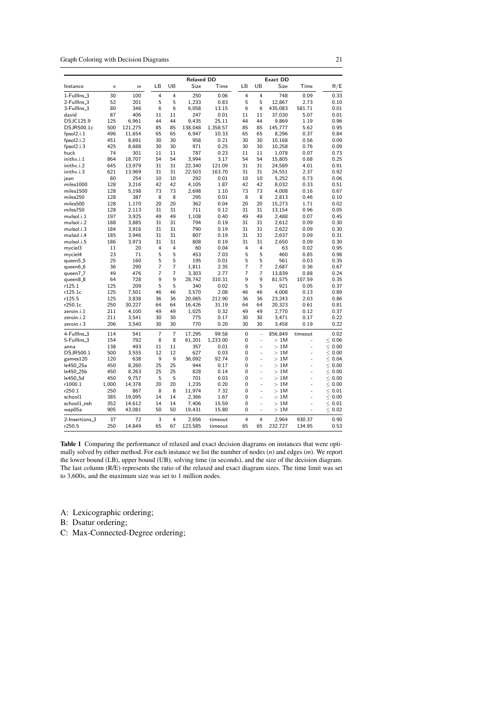Graph Coloring with Decision Diagrams 21

|                       |                  |                | LВ             | UB             | <b>Relaxed DD</b><br>Size | Time     | LВ             | UB                       | <b>Exact DD</b><br>Size | Time           | R/E            |
|-----------------------|------------------|----------------|----------------|----------------|---------------------------|----------|----------------|--------------------------|-------------------------|----------------|----------------|
| Instance              | $\boldsymbol{n}$ | $\mathfrak{m}$ |                |                |                           |          |                |                          |                         |                |                |
| 1-FullIns_3           | 30               | 100            | 4              | 4              | 250                       | 0.06     | 4              | $\overline{4}$           | 748                     | 0.09           | 0.33           |
| 2-FullIns_3           | 52               | 201            | 5              | 5              | 1,233                     | 0.83     | 5              | 5                        | 12,867                  | 2.73           | 0.10           |
| 3-FullIns_3           | 80               | 346            | 6              | 6              | 6,058                     | 13.15    | 6              | 6                        | 435,083                 | 581.71         | 0.01           |
| david                 | 87               | 406            | 11             | 11             | 247                       | 0.01     | 11             | 11                       | 37,030                  | 5.07           | 0.01           |
| DSJC125.9             | 125              | 6,961          | 44             | 44             | 9,435                     | 25.11    | 44             | 44                       | 9,869                   | 1.19           | 0.96           |
| DSJR500.1c            | 500              | 121,275        | 85             | 85             | 138,048                   | 1,358.57 | 85             | 85                       | 145,777                 | 5.62           | 0.95           |
| fpsol2.i.1            | 496              | 11,654         | 65             | 65             | 6,947                     | 10.33    | 65             | 65                       | 8,296                   | 0.37           | 0.84           |
| fpsol2.i.2            | 451              | 8,691          | 30             | 30             | 958                       | 0.21     | 30             | 30                       | 10,168                  | 0.56           | 0.09           |
| fpsol2.i.3            | 425              | 8,688          | 30             | 30             | 971                       | 0.25     | 30             | 30                       | 10,258                  | 0.76           | 0.09           |
| huck                  | 74               | 301            | 11             | 11             | 787                       | 0.23     | 11             | 11                       | 1,078                   | 0.07           | 0.73           |
| inithx.i.1            | 864              | 18,707         | 54             | 54             | 3.994                     | 3.17     | 54             | 54                       | 15,805                  | 0.68           | 0.25           |
| inithx.i.2            | 645              | 13,979         | 31             | 31             | 22,340                    | 121.09   | 31             | 31                       | 24,589                  | 4.01           | 0.91           |
| inithx.i.3            | 621              | 13,969         | 31             | 31             | 22,503                    | 163.70   | 31             | 31                       | 24,551                  | 2.37           | 0.92           |
| jean                  | 80               | 254            | 10             | 10             | 292                       | 0.01     | 10             | 10                       | 5,252                   | 0.73           | 0.06           |
| miles1000             | 128              | 3,216          | 42             | 42             | 4,105                     | 1.87     | 42             | 42                       | 8,032                   | 0.33           | 0.51           |
| miles1500             | 128              | 5,198          | 73             | 73             | 2,698                     | 1.10     | 73             | 73                       | 4.008                   | 0.16           | 0.67           |
| miles250              | 128              | 387            | 8              | 8              | 295                       | 0.01     | 8              | 8                        | 2,813                   | 0.46           | 0.10           |
| miles500              | 128              | 1,170          | 20             | 20             | 362                       | 0.04     | 20             | 20                       | 15,273                  | 1.71           | 0.02           |
| miles750              | 128              | 2,113          | 31             | 31             | 711                       | 0.12     | 31             | 31                       | 13,154                  | 0.96           | 0.05           |
| mulsol.i.1            | 197              | 3,925          | 49             | 49             | 1,108                     | 0.40     | 49             | 49                       | 2,488                   | 0.07           | 0.45           |
| mulsol.i.2            | 188              | 3,885          | 31             | 31             | 794                       | 0.19     | 31             | 31                       | 2,612                   | 0.09           | 0.30           |
| mulsol.i.3            | 184              | 3,916          | 31             | 31             | 790                       | 0.19     | 31             | 31                       | 2,622                   | 0.09           | 0.30           |
| mulsol.i.4            | 185              | 3,946          | 31             | 31             | 807                       | 0.19     | 31             | 31                       | 2,637                   | 0.09           | 0.31           |
| mulsol.i.5            | 186              | 3,973          | 31             | 31             | 808                       | 0.19     | 31             | 31                       | 2,650                   | 0.09           | 0.30           |
| myciel3               | 11               | 20             | $\overline{4}$ | 4              | 60                        | 0.04     | 4              | 4                        | 63                      | 0.02           | 0.95           |
| myciel4               | 23               | 71             | 5              | 5              | 453                       | 7.03     | 5              | 5                        | 460                     | 0.85           | 0.98           |
| queen5_5              | 25               | 160            | 5              | 5              | 195                       | 0.01     | 5              | 5                        | 561                     | 0.03           | 0.35           |
| queen6_6              | 36               | 290            | $\overline{7}$ | $\overline{7}$ | 1,811                     | 2.35     | $\overline{7}$ | $\overline{7}$           | 2,687                   | 0.36           | 0.67           |
| queen7 <sub>-7</sub>  | 49               | 476            | $\overline{7}$ | 7              | 3,303                     | 2.77     | 7              | $\overline{7}$           | 13,839                  | 0.88           | 0.24           |
| queen8_8              | 64               | 728            | 9              | 9              | 28,742                    | 310.31   | 9              | $\mathbf{Q}$             | 81,575                  | 107.59         | 0.35           |
| r125.1                | 125              | 209            | 5              | 5              | 340                       | 0.02     | 5              | 5                        | 921                     | 0.05           | 0.37           |
| r125.1c               | 125              | 7,501          | 46             | 46             | 3,570                     | 2.08     | 46             | 46                       | 4,008                   | 0.13           | 0.89           |
| r125.5                | 125              | 3,838          | 36             | 36             | 20,065                    | 212.90   | 36             | 36                       | 23,243                  | 2.03           | 0.86           |
| r250.1c               | 250              | 30,227         | 64             | 64             | 16,426                    | 31.19    | 64             | 64                       | 20,323                  | 0.61           | 0.81           |
| zeroin.i.1            | 211              | 4,100          | 49             | 49             | 1,025                     | 0.32     | 49             | 49                       | 2,770                   | 0.12           | 0.37           |
| zeroin.i.2            | 211              | 3,541          | 30             | 30             | 775                       | 0.17     | 30             | 30                       | 3,471                   | 0.17           | 0.22           |
| zeroin.i.3            | 206              | 3,540          | 30             | 30             | 770                       | 0.20     | 30             | 30                       | 3,458                   | 0.19           | 0.22           |
| 4-FullIns_3           | 114              | 541            | $\overline{7}$ | $\overline{7}$ | 17,295                    | 99.58    | 0              | $\overline{a}$           | 856.849                 | timeout        | 0.02           |
| 5-FullIns_3           | 154              | 792            | 8              | 8              | 61,201                    | 1.233.00 | 0              | $\overline{\phantom{m}}$ | >1M                     |                | < 0.06         |
| anna                  | 138              | 493            | 11             | 11             | 357                       | 0.01     | 0              | $\overline{a}$           | >1M                     | ٠              | $\,<$<br>0.00  |
| DSJR500.1             | 500              | 3,555          | 12             | 12             | 627                       | 0.03     | 0              | $\overline{a}$           | 1M<br>$\geq$            | ä,             | $\leq$<br>0.00 |
| games120              | 120              | 638            | 9              | 9              | 36,092                    | 92.74    | 0              | L,                       | 1M<br>$\geq$            |                | 0.04<br>$\leq$ |
| le450 <sub>-25a</sub> | 450              | 8,260          | 25             | 25             | 944                       | 0.17     | 0              | $\overline{a}$           | 1M<br>$\geq$            |                | $\leq$<br>0.00 |
| le450_25b             | 450              | 8,263          | 25             | 25             | 828                       | 0.14     | 0              |                          | 1M<br>$\geq$            |                | $\leq$<br>0.00 |
| le450 <sub>-5d</sub>  | 450              | 9,757          | 5              | 5              | 701                       | 0.03     | 0              | L,                       | 1M<br>$\geq$            |                | 0.00<br>$\leq$ |
| r1000.1               | 1,000            | 14,378         | 20             | 20             | 1,235                     | 0.20     | 0              | $\overline{\phantom{0}}$ | 1M<br>$\geq$            |                | $\leq$<br>0.00 |
| r250.1                | 250              | 867            | 8              | 8              |                           | 7.32     | 0              |                          | 1M<br>$\geq$            |                | 0.01           |
| school1               | 385              | 19,095         | 14             | 14             | 11,974<br>2,366           | 1.67     | 0              | $\overline{a}$           | 1M                      | $\overline{a}$ | $\leq$<br>0.00 |
|                       |                  |                | 14             | 14             |                           | 15.59    | 0              | L,                       | $\geq$<br>>1M           | L,             | $\leq$         |
| school1_nsh           | 352              | 14,612         |                |                | 7,406                     |          | $\Omega$       |                          |                         |                | $\leq 0.01$    |
| wap05a                | 905              | 43,081         | 50             | 50             | 19,431                    | 15.80    |                |                          | >1M                     |                | < 0.02         |
| 2-Insertions_3        | 37               | 72             | 3              | $\overline{4}$ | 2,656                     | timeout  | 4              | 4                        | 2,964                   | 930.37         | 0.90           |
| r250.5                | 250              | 14,849         | 65             | 67             | 123,585                   | timeout  | 65             | 65                       | 232,727                 | 134.95         | 0.53           |

Table 1 Comparing the performance of relaxed and exact decision diagrams on instances that were optimally solved by either method. For each instance we list the number of nodes (*n*) and edges (*m*). We report the lower bound (LB), upper bound (UB), solving time (in seconds), and the size of the decision diagram. The last column (R/E) represents the ratio of the relaxed and exact diagram sizes. The time limit was set to 3,600s, and the maximum size was set to 1 million nodes.

A: Lexicographic ordering;

B: Dsatur ordering;

C: Max-Connected-Degree ordering;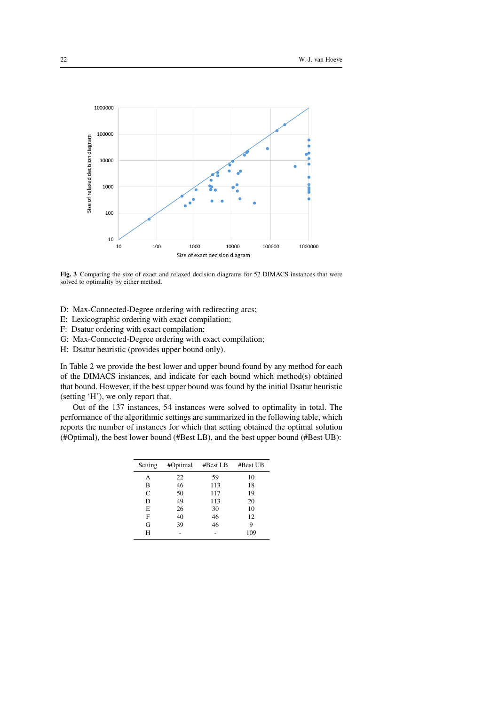

Fig. 3 Comparing the size of exact and relaxed decision diagrams for 52 DIMACS instances that were solved to optimality by either method.

- D: Max-Connected-Degree ordering with redirecting arcs;
- E: Lexicographic ordering with exact compilation;
- F: Dsatur ordering with exact compilation;
- G: Max-Connected-Degree ordering with exact compilation;
- H: Dsatur heuristic (provides upper bound only).

In Table 2 we provide the best lower and upper bound found by any method for each of the DIMACS instances, and indicate for each bound which method(s) obtained that bound. However, if the best upper bound was found by the initial Dsatur heuristic (setting 'H'), we only report that.

Out of the 137 instances, 54 instances were solved to optimality in total. The performance of the algorithmic settings are summarized in the following table, which reports the number of instances for which that setting obtained the optimal solution (#Optimal), the best lower bound (#Best LB), and the best upper bound (#Best UB):

| Setting | #Optimal | #Best LB | #Best UB |
|---------|----------|----------|----------|
| А       | 22       | 59       | 10       |
| B       | 46       | 113      | 18       |
| C       | 50       | 117      | 19       |
| D       | 49       | 113      | 20       |
| E       | 26       | 30       | 10       |
| F       | 40       | 46       | 12       |
| G       | 39       | 46       | 9        |
| н       |          |          | 109      |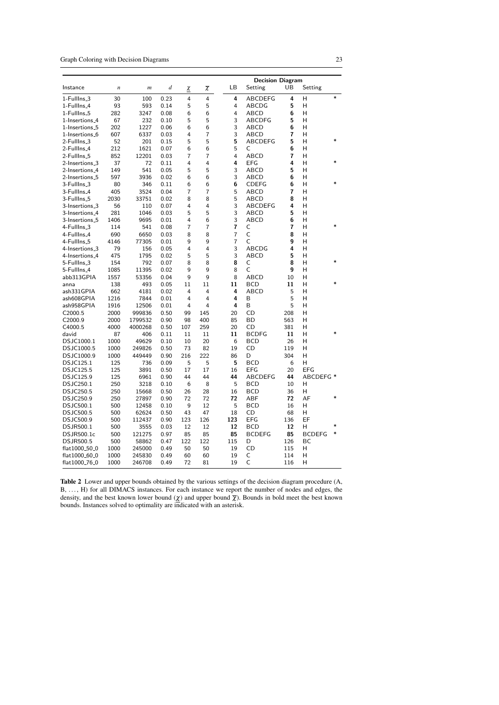Graph Coloring with Decision Diagrams 23

|                            |                  |                  |      |     |                   |                | <b>Decision Diagram</b> |     |               |         |
|----------------------------|------------------|------------------|------|-----|-------------------|----------------|-------------------------|-----|---------------|---------|
| Instance                   | $\boldsymbol{n}$ | $\boldsymbol{m}$ | d    | χ   | $\overline{\chi}$ | LB             | Setting                 | UB  | Setting       |         |
| 1-FullIns <sub>-3</sub>    | 30               | 100              | 0.23 | 4   | 4                 | 4              | ABCDEFG                 | 4   | н             | $\ast$  |
| 1-Fulllns_4                | 93               | 593              | 0.14 | 5   | 5                 | 4              | ABCDG                   | 5   | н             |         |
| 1-Fulllns_5                | 282              | 3247             | 0.08 | 6   | 6                 | 4              | ABCD                    | 6   | н             |         |
| 1-Insertions <sub>-4</sub> | 67               | 232              | 0.10 | 5   | 5                 | 3              | <b>ABCDFG</b>           | 5   | Н             |         |
| 1-Insertions_5             | 202              | 1227             | 0.06 | 6   | 6                 | 3              | ABCD                    | 6   | н             |         |
| 1-Insertions_6             | 607              | 6337             | 0.03 | 4   | $\overline{7}$    | 3              | ABCD                    | 7   | н             |         |
| 2-FullIns_3                | 52               | 201              | 0.15 | 5   | 5                 | 5              | ABCDEFG                 | 5   | н             | $\ast$  |
| 2-FullIns <sub>-4</sub>    | 212              | 1621             | 0.07 | 6   | 6                 | 5              | C                       | 6   | Н             |         |
| 2-FullIns_5                | 852              | 12201            | 0.03 | 7   | $\overline{7}$    | 4              | ABCD                    | 7   | н             |         |
| 2-Insertions_3             | 37               | 72               | 0.11 | 4   | $\overline{4}$    | 4              | <b>EFG</b>              | 4   | Н             |         |
| 2-Insertions_4             | 149              | 541              | 0.05 | 5   | 5                 | 3              | ABCD                    | 5   | н             |         |
| 2-Insertions_5             | 597              | 3936             | 0.02 | 6   | 6                 | 3              | ABCD                    | 6   | н             |         |
| 3-FullIns_3                | 80               | 346              | 0.11 | 6   | 6                 | 6              | <b>CDEFG</b>            | 6   | н             |         |
| 3-FullIns_4                | 405              | 3524             | 0.04 | 7   | 7                 | 5              | ABCD                    | 7   | н             |         |
| 3-FullIns_5                | 2030             | 33751            | 0.02 | 8   | 8                 | 5              | ABCD                    | 8   | н             |         |
| 3-Insertions_3             | 56               | 110              | 0.07 | 4   | $\overline{4}$    | 3              | ABCDEFG                 | 4   | н             |         |
| 3-Insertions <sub>-4</sub> | 281              | 1046             | 0.03 | 5   | 5                 | 3              | <b>ABCD</b>             | 5   | н             |         |
| 3-Insertions_5             | 1406             | 9695             | 0.01 | 4   | 6                 | 3              | ABCD                    | 6   | н             |         |
| 4-FullIns <sub>-3</sub>    | 114              | 541              | 0.08 | 7   | 7                 | 7              | C                       | 7   | н             | $\star$ |
| 4-Fulllns_4                | 690              | 6650             | 0.03 | 8   | 8                 | 7              | C                       | 8   | н             |         |
| 4-FullIns_5                | 4146             | 77305            | 0.01 | 9   | 9                 | $\overline{7}$ | C                       | 9   | н             |         |
| 4-Insertions_3             | 79               | 156              | 0.05 | 4   | $\overline{4}$    | 3              | ABCDG                   | 4   | н             |         |
| 4-Insertions <sub>-4</sub> | 475              | 1795             | 0.02 | 5   | 5                 | 3              | ABCD                    | 5   | н             |         |
| 5-FullIns_3                | 154              | 792              | 0.07 | 8   | 8                 | 8              | C                       | 8   | н             |         |
| 5-Fulllns_4                | 1085             | 11395            | 0.02 | 9   | 9                 | 8              | C                       | 9   | н             |         |
| abb313GPIA                 | 1557             | 53356            | 0.04 | 9   | 9                 | 8              | ABCD                    | 10  | н             |         |
| anna                       | 138              | 493              | 0.05 | 11  | 11                | 11             | <b>BCD</b>              | 11  | Н             |         |
| ash331GPIA                 | 662              | 4181             | 0.02 | 4   | 4                 | 4              | ABCD                    | 5   | н             |         |
| ash608GPIA                 | 1216             | 7844             | 0.01 | 4   | 4                 | 4              | B                       | 5   | н             |         |
| ash958GPIA                 | 1916             | 12506            | 0.01 | 4   | $\overline{4}$    | 4              | B                       | 5   | н             |         |
| C <sub>2000.5</sub>        | 2000             | 999836           | 0.50 | 99  | 145               | 20             | CD                      | 208 | н             |         |
| C2000.9                    | 2000             | 1799532          | 0.90 | 98  | 400               | 85             | BD                      | 563 | н             |         |
| C4000.5                    | 4000             | 4000268          | 0.50 | 107 | 259               | 20             | CD                      | 381 | н             |         |
| david                      | 87               | 406              | 0.11 | 11  | 11                | 11             | <b>BCDFG</b>            | 11  | н             |         |
| DSJC1000.1                 | 1000             | 49629            | 0.10 | 10  | 20                | 6              | BCD                     | 26  | н             |         |
| DSJC1000.5                 | 1000             | 249826           | 0.50 | 73  | 82                | 19             | CD                      | 119 | н             |         |
| DSJC1000.9                 | 1000             | 449449           | 0.90 | 216 | 222               | 86             | D                       | 304 | н             |         |
| DSJC125.1                  | 125              | 736              | 0.09 | 5   | 5                 | 5              | <b>BCD</b>              | 6   | н             |         |
| DSJC125.5                  | 125              | 3891             | 0.50 | 17  | 17                | 16             | <b>EFG</b>              | 20  | <b>EFG</b>    |         |
| DSJC125.9                  | 125              | 6961             | 0.90 | 44  | 44                | 44             | ABCDEFG                 | 44  | ABCDEFG *     |         |
| DSJC250.1                  | 250              | 3218             | 0.10 | 6   | 8                 | 5              | <b>BCD</b>              | 10  | н             |         |
| DSJC250.5                  | 250              | 15668            | 0.50 | 26  | 28                | 16             | BCD                     | 36  | н             |         |
| DSJC250.9                  | 250              | 27897            | 0.90 | 72  | 72                | 72             | <b>ABF</b>              | 72  | AF            | $\ast$  |
| DSJC500.1                  | 500              | 12458            | 0.10 | 9   | 12                | 5              | BCD                     | 16  | н             |         |
| DSJC500.5                  | 500              | 62624            | 0.50 | 43  | 47                | 18             | CD                      | 68  | н             |         |
| DSJC500.9                  | 500              | 112437           | 0.90 | 123 | 126               | 123            | EFG                     | 136 | EF            |         |
| DSJR500.1                  | 500              | 3555             | 0.03 | 12  | 12                | 12             | <b>BCD</b>              | 12  | н             |         |
| DSJR500.1c                 | 500              | 121275           | 0.97 | 85  | 85                | 85             | <b>BCDEFG</b>           | 85  | <b>BCDEFG</b> | $\ast$  |
| <b>DSJR500.5</b>           | 500              | 58862            | 0.47 | 122 | 122               | 115            | D                       | 126 | BC            |         |
| flat1000 <sub>-50-0</sub>  | 1000             | 245000           | 0.49 | 50  | 50                | 19             | CD                      | 115 | н             |         |
| flat1000_60_0              | 1000             | 245830           | 0.49 | 60  | 60                | 19             | C                       | 114 | н             |         |
| flat1000 <sub>-76-0</sub>  | 1000             | 246708           | 0.49 | 72  | 81                | 19             | C                       | 116 | н             |         |
|                            |                  |                  |      |     |                   |                |                         |     |               |         |

Table 2 Lower and upper bounds obtained by the various settings of the decision diagram procedure (A, B, . . . , H) for all DIMACS instances. For each instance we report the number of nodes and edges, the density, and the best known lower bound ( $\chi$ ) and upper bound  $\bar{\chi}$ ). Bounds in bold meet the best known bounds. Instances solved to optimality are indicated with an asterisk.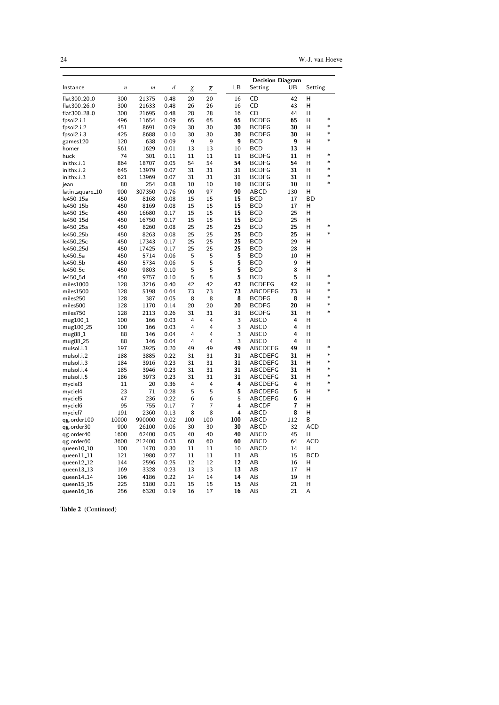24 W.-J. van Hoeve

|                          |                  |                |      |     |                   |     | <b>Decision Diagram</b> |     |            |             |
|--------------------------|------------------|----------------|------|-----|-------------------|-----|-------------------------|-----|------------|-------------|
| Instance                 | $\boldsymbol{n}$ | $\mathfrak{m}$ | d    | χ   | $\overline{\chi}$ | LВ  | Setting                 | UB  | Setting    |             |
| flat300 <sub>-20-0</sub> | 300              | 21375          | 0.48 | 20  | 20                | 16  | CD                      | 42  | н          |             |
| flat300_26_0             | 300              | 21633          | 0.48 | 26  | 26                | 16  | CD                      | 43  | Н          |             |
| flat300_28_0             | 300              | 21695          | 0.48 | 28  | 28                | 16  | CD                      | 44  | н          |             |
|                          | 496              |                | 0.09 | 65  | 65                | 65  | <b>BCDFG</b>            | 65  | н          | $\ast$      |
| fpsol2.i.1               | 451              | 11654<br>8691  | 0.09 | 30  | 30                | 30  | <b>BCDFG</b>            | 30  | н          | $\ast$      |
| fpsol2.i.2               |                  |                |      |     |                   |     |                         |     | н          | $\ast$      |
| fpsol2.i.3               | 425              | 8688           | 0.10 | 30  | 30                | 30  | <b>BCDFG</b>            | 30  |            | $\ast$      |
| games120                 | 120              | 638            | 0.09 | 9   | 9                 | 9   | <b>BCD</b>              | 9   | н          |             |
| homer                    | 561              | 1629           | 0.01 | 13  | 13                | 10  | <b>BCD</b>              | 13  | н          | $\ast$      |
| huck                     | 74               | 301            | 0.11 | 11  | 11                | 11  | <b>BCDFG</b>            | 11  | Н          | $\ast$      |
| inithx.i.1               | 864              | 18707          | 0.05 | 54  | 54                | 54  | <b>BCDFG</b>            | 54  | н          | $\ast$      |
| inithx.i.2               | 645              | 13979          | 0.07 | 31  | 31                | 31  | <b>BCDFG</b>            | 31  | н          |             |
| inithx.i.3               | 621              | 13969          | 0.07 | 31  | 31                | 31  | <b>BCDFG</b>            | 31  | н          | *<br>$\ast$ |
| jean                     | 80               | 254            | 0.08 | 10  | 10                | 10  | <b>BCDFG</b>            | 10  | Н          |             |
| latin_square_10          | 900              | 307350         | 0.76 | 90  | 97                | 90  | ABCD                    | 130 | н          |             |
| le450 <sub>–</sub> 15a   | 450              | 8168           | 0.08 | 15  | 15                | 15  | <b>BCD</b>              | 17  | <b>BD</b>  |             |
| le450 <sub>-</sub> 15b   | 450              | 8169           | 0.08 | 15  | 15                | 15  | <b>BCD</b>              | 17  | н          |             |
| le450 <sub>-</sub> 15c   | 450              | 16680          | 0.17 | 15  | 15                | 15  | <b>BCD</b>              | 25  | н          |             |
| le450 <sub>-15d</sub>    | 450              | 16750          | 0.17 | 15  | 15                | 15  | <b>BCD</b>              | 25  | н          |             |
| le450 <sub>-25a</sub>    | 450              | 8260           | 0.08 | 25  | 25                | 25  | <b>BCD</b>              | 25  | н          | $\ast$      |
| le450 <sub>–</sub> 25b   | 450              | 8263           | 0.08 | 25  | 25                | 25  | <b>BCD</b>              | 25  | н          | ×           |
| le450 <sub>-25c</sub>    | 450              | 17343          | 0.17 | 25  | 25                | 25  | <b>BCD</b>              | 29  | Н          |             |
| le450 <sub>-25d</sub>    | 450              | 17425          | 0.17 | 25  | 25                | 25  | <b>BCD</b>              | 28  | Н          |             |
| le450 <sub>-5a</sub>     | 450              | 5714           | 0.06 | 5   | 5                 | 5   | <b>BCD</b>              | 10  | н          |             |
| le450 <sub>-</sub> 5b    | 450              | 5734           | 0.06 | 5   | 5                 | 5   | <b>BCD</b>              | 9   | н          |             |
| le450 <sub>-5c</sub>     | 450              | 9803           | 0.10 | 5   | 5                 | 5   | <b>BCD</b>              | 8   | Н          |             |
| le450_5d                 | 450              | 9757           | 0.10 | 5   | 5                 | 5   | <b>BCD</b>              | 5   | н          | $\ast$      |
| miles1000                | 128              | 3216           | 0.40 | 42  | 42                | 42  | <b>BCDEFG</b>           | 42  | н          | $\ast$      |
| miles1500                | 128              | 5198           | 0.64 | 73  | 73                | 73  | <b>ABCDEFG</b>          | 73  | н          | $\ast$      |
| miles250                 | 128              | 387            | 0.05 | 8   | 8                 | 8   | <b>BCDFG</b>            | 8   | н          | $\ast$      |
| miles500                 | 128              | 1170           | 0.14 | 20  | 20                | 20  | <b>BCDFG</b>            | 20  | н          | *           |
| miles750                 | 128              | 2113           | 0.26 | 31  | 31                | 31  | <b>BCDFG</b>            | 31  | н          | $\ast$      |
| mug100 <sub>-1</sub>     | 100              | 166            | 0.03 | 4   | $\overline{4}$    | 3   | ABCD                    | 4   | н          |             |
| mug100 <sub>-25</sub>    | 100              | 166            | 0.03 | 4   | 4                 | 3   | ABCD                    | 4   | н          |             |
| mug88 <sub>-1</sub>      | 88               | 146            | 0.04 | 4   | 4                 | 3   | ABCD                    | 4   | н          |             |
| mug88 <sub>-25</sub>     | 88               | 146            | 0.04 | 4   | $\overline{4}$    | 3   | ABCD                    | 4   | н          |             |
| mulsol.i.1               | 197              | 3925           | 0.20 | 49  | 49                | 49  | ABCDEFG                 | 49  | Н          | *           |
| mulsol.i.2               | 188              | 3885           | 0.22 | 31  | 31                | 31  | <b>ABCDEFG</b>          | 31  | н          | *           |
| mulsol.i.3               | 184              | 3916           | 0.23 | 31  | 31                | 31  | ABCDEFG                 | 31  | н          | *           |
| mulsol.i.4               | 185              | 3946           | 0.23 | 31  | 31                | 31  | ABCDEFG                 | 31  | н          | *           |
| mulsol.i.5               | 186              | 3973           | 0.23 | 31  | 31                | 31  | ABCDEFG                 | 31  | H          | *           |
| myciel3                  | 11               | 20             | 0.36 | 4   | 4                 | 4   | ABCDEFG                 | 4   | н          | $\ast$      |
| myciel4                  | 23               | 71             | 0.28 | 5   | 5                 | 5   | ABCDEFG                 | 5   | H          | $\ast$      |
| myciel5                  | 47               | 236            | 0.22 | 6   | 6                 | 5   | ABCDEFG                 | 6   | н          |             |
| myciel6                  | 95               | 755            | 0.17 | 7   | 7                 | 4   | <b>ABCDF</b>            | 7   | н          |             |
| myciel7                  | 191              | 2360           | 0.13 | 8   | 8                 | 4   | ABCD                    | 8   | н          |             |
| qg.order100              | 10000            | 990000         | 0.02 | 100 | 100               | 100 | ABCD                    | 112 | B          |             |
| qg.order30               | 900              | 26100          | 0.06 | 30  | 30                | 30  | ABCD                    | 32  | <b>ACD</b> |             |
| qg.order40               | 1600             | 62400          | 0.05 | 40  | 40                | 40  | ABCD                    | 45  | н          |             |
| qg.order60               | 3600             | 212400         | 0.03 | 60  | 60                | 60  | ABCD                    | 64  | <b>ACD</b> |             |
| queen10 <sub>-10</sub>   | 100              | 1470           | 0.30 | 11  | 11                | 10  | ABCD                    | 14  | н          |             |
| queen $11.11$            | 121              | 1980           | 0.27 | 11  | 11                | 11  | AB                      | 15  | <b>BCD</b> |             |
| queen $12-12$            | 144              | 2596           | 0.25 | 12  | 12                | 12  | AB                      | 16  | н          |             |
| queen13 <sub>-</sub> 13  | 169              | 3328           | 0.23 | 13  | 13                | 13  | AB                      | 17  | н          |             |
| queen14_14               | 196              | 4186           | 0.22 | 14  | 14                | 14  | AB                      | 19  | н          |             |
| queen15_15               | 225              | 5180           | 0.21 | 15  | 15                | 15  | AB                      | 21  | н          |             |
| queen $16_1$             | 256              | 6320           | 0.19 | 16  | 17                | 16  | AВ                      | 21  | A          |             |

Table 2 (Continued)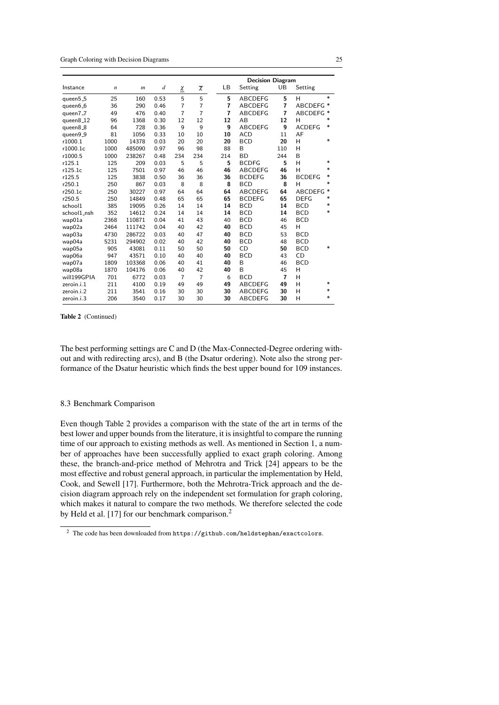|             |                  |                  |                  |                    |                   |                | <b>Decision Diagram</b> |                |                |        |  |
|-------------|------------------|------------------|------------------|--------------------|-------------------|----------------|-------------------------|----------------|----------------|--------|--|
| Instance    | $\boldsymbol{n}$ | $\boldsymbol{m}$ | $\boldsymbol{d}$ | $\underline{\chi}$ | $\overline{\chi}$ | LB             | Setting                 | UB             | Setting        |        |  |
| queen5_5    | 25               | 160              | 0.53             | 5                  | 5                 | 5              | <b>ABCDEFG</b>          | 5              | н              | $\ast$ |  |
| queen6_6    | 36               | 290              | 0.46             | $\overline{7}$     | $\overline{7}$    | $\overline{7}$ | <b>ABCDEFG</b>          | $\overline{7}$ | ABCDEFG *      |        |  |
| queen7_7    | 49               | 476              | 0.40             | $\overline{7}$     | $\overline{7}$    | $\overline{7}$ | <b>ABCDEFG</b>          | $\overline{7}$ | ABCDEFG *      |        |  |
| queen8_12   | 96               | 1368             | 0.30             | 12                 | 12                | 12             | AB                      | 12             | н              | $\ast$ |  |
| queen8_8    | 64               | 728              | 0.36             | 9                  | 9                 | 9              | <b>ABCDEFG</b>          | 9              | <b>ACDEFG</b>  | $\ast$ |  |
| queen9_9    | 81               | 1056             | 0.33             | 10                 | 10                | 10             | <b>ACD</b>              | 11             | AF             |        |  |
| r1000.1     | 1000             | 14378            | 0.03             | 20                 | 20                | 20             | <b>BCD</b>              | 20             | н              | $\ast$ |  |
| r1000.1c    | 1000             | 485090           | 0.97             | 96                 | 98                | 88             | B                       | 110            | н              |        |  |
| r1000.5     | 1000             | 238267           | 0.48             | 234                | 234               | 214            | <b>BD</b>               | 244            | B              |        |  |
| r125.1      | 125              | 209              | 0.03             | 5                  | 5                 | 5              | <b>BCDFG</b>            | 5              | H              | $\ast$ |  |
| r125.1c     | 125              | 7501             | 0.97             | 46                 | 46                | 46             | <b>ABCDEFG</b>          | 46             | H              | $\ast$ |  |
| r125.5      | 125              | 3838             | 0.50             | 36                 | 36                | 36             | <b>BCDEFG</b>           | 36             | <b>BCDEFG</b>  | *      |  |
| r250.1      | 250              | 867              | 0.03             | 8                  | 8                 | 8              | <b>BCD</b>              | 8              | Н              | $\ast$ |  |
| r250.1c     | 250              | 30227            | 0.97             | 64                 | 64                | 64             | <b>ABCDEFG</b>          | 64             | <b>ABCDEFG</b> | $\ast$ |  |
| r250.5      | 250              | 14849            | 0.48             | 65                 | 65                | 65             | <b>BCDEFG</b>           | 65             | <b>DEFG</b>    | $\ast$ |  |
| school1     | 385              | 19095            | 0.26             | 14                 | 14                | 14             | <b>BCD</b>              | 14             | <b>BCD</b>     | *      |  |
| school1_nsh | 352              | 14612            | 0.24             | 14                 | 14                | 14             | <b>BCD</b>              | 14             | <b>BCD</b>     | $\ast$ |  |
| wap01a      | 2368             | 110871           | 0.04             | 41                 | 43                | 40             | <b>BCD</b>              | 46             | <b>BCD</b>     |        |  |
| wap02a      | 2464             | 111742           | 0.04             | 40                 | 42                | 40             | <b>BCD</b>              | 45             | H              |        |  |
| wap03a      | 4730             | 286722           | 0.03             | 40                 | 47                | 40             | <b>BCD</b>              | 53             | <b>BCD</b>     |        |  |
| wap04a      | 5231             | 294902           | 0.02             | 40                 | 42                | 40             | <b>BCD</b>              | 48             | <b>BCD</b>     |        |  |
| wap05a      | 905              | 43081            | 0.11             | 50                 | 50                | 50             | CD                      | 50             | <b>BCD</b>     | $\ast$ |  |
| wap06a      | 947              | 43571            | 0.10             | 40                 | 40                | 40             | <b>BCD</b>              | 43             | CD             |        |  |
| wap07a      | 1809             | 103368           | 0.06             | 40                 | 41                | 40             | B                       | 46             | <b>BCD</b>     |        |  |
| wap08a      | 1870             | 104176           | 0.06             | 40                 | 42                | 40             | B                       | 45             | H              |        |  |
| will199GPIA | 701              | 6772             | 0.03             | $\overline{7}$     | $\overline{7}$    | 6              | <b>BCD</b>              | $\overline{7}$ | H              |        |  |
| zeroin.i.1  | 211              | 4100             | 0.19             | 49                 | 49                | 49             | <b>ABCDEFG</b>          | 49             | H              | $\ast$ |  |
| zeroin.i.2  | 211              | 3541             | 0.16             | 30                 | 30                | 30             | <b>ABCDEFG</b>          | 30             | H              | $\ast$ |  |
| zeroin.i.3  | 206              | 3540             | 0.17             | 30                 | 30                | 30             | <b>ABCDEFG</b>          | 30             | H              | $\ast$ |  |

Table 2 (Continued)

The best performing settings are C and D (the Max-Connected-Degree ordering without and with redirecting arcs), and B (the Dsatur ordering). Note also the strong performance of the Dsatur heuristic which finds the best upper bound for 109 instances.

#### 8.3 Benchmark Comparison

Even though Table 2 provides a comparison with the state of the art in terms of the best lower and upper bounds from the literature, it is insightful to compare the running time of our approach to existing methods as well. As mentioned in Section 1, a number of approaches have been successfully applied to exact graph coloring. Among these, the branch-and-price method of Mehrotra and Trick [24] appears to be the most effective and robust general approach, in particular the implementation by Held, Cook, and Sewell [17]. Furthermore, both the Mehrotra-Trick approach and the decision diagram approach rely on the independent set formulation for graph coloring, which makes it natural to compare the two methods. We therefore selected the code by Held et al. [17] for our benchmark comparison.<sup>2</sup>

 $^2$  The code has been downloaded from  $\texttt{https://github.com/heldstephan/exactcolors}.$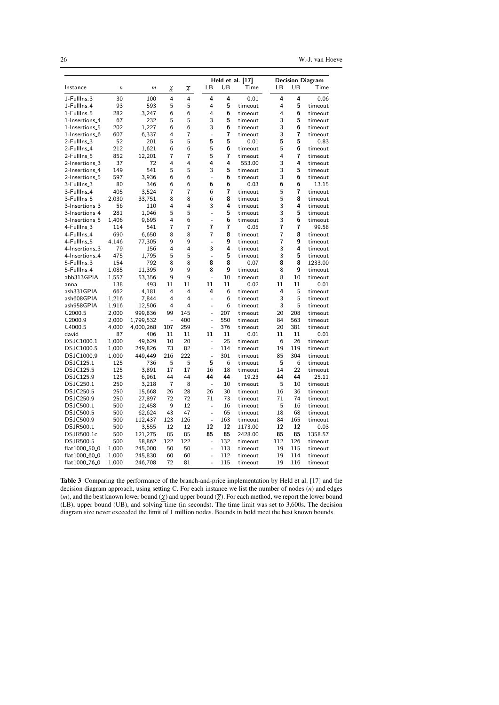26 W.-J. van Hoeve

|                            |                  |                  |                          |                   |  |                          |         | Held et al. $[17]$ |  |                |                | <b>Decision Diagram</b> |
|----------------------------|------------------|------------------|--------------------------|-------------------|--|--------------------------|---------|--------------------|--|----------------|----------------|-------------------------|
| Instance                   | $\boldsymbol{n}$ | $\boldsymbol{m}$ | <u>χ</u>                 | $\overline{\chi}$ |  | LB                       | UB      | Time               |  | LB             | UB             | Time                    |
| 1-FullIns <sub>-3</sub>    | 30               | 100              | 4                        | 4                 |  | 4                        | 4       | 0.01               |  | 4              | 4              | 0.06                    |
| 1-FullIns_4                | 93               | 593              | 5                        | 5                 |  | 4                        | 5       | timeout            |  | 4              | 5              | timeout                 |
| 1-FullIns_5                | 282              | 3,247            | 6                        | 6                 |  | 4                        | 6       | timeout            |  | 4              | 6              | timeout                 |
| 1-Insertions <sub>-4</sub> | 67               | 232              | 5                        | 5                 |  | 3                        | 5       | timeout            |  | 3              | 5              | timeout                 |
| 1-Insertions_5             | 202              | 1,227            | 6                        | 6                 |  | 3                        | 6       | timeout            |  | 3              | 6              | timeout                 |
| 1-Insertions_6             | 607              | 6,337            | 4                        | $\overline{7}$    |  | $\frac{1}{2}$            | 7       | timeout            |  | 3              | $\overline{7}$ | timeout                 |
| 2-FullIns_3                | 52               | 201              | 5                        | 5                 |  | 5                        | 5       | 0.01               |  | 5              | 5              | 0.83                    |
| 2-FullIns <sub>-4</sub>    | 212              | 1,621            | 6                        | 6                 |  | 5                        | 6       | timeout            |  | 5              | 6              | timeout                 |
| 2-FullIns_5                | 852              | 12,201           | 7                        | 7                 |  | 5                        | 7       | timeout            |  | 4              | 7              | timeout                 |
| 2-Insertions_3             | 37               | 72               | 4                        | 4                 |  | 4                        | 4       | 553.00             |  | 3              | 4              | timeout                 |
| 2-Insertions_4             | 149              | 541              | 5                        | 5                 |  | 3                        | 5       | timeout            |  | 3              | 5              | timeout                 |
| 2-Insertions <sub>-5</sub> | 597              | 3,936            | 6                        | 6                 |  | $\overline{a}$           | 6       | timeout            |  | 3              | 6              | timeout                 |
| 3-FullIns_3                | 80               | 346              | 6                        | 6                 |  | 6                        | 6       | 0.03               |  | 6              | 6              | 13.15                   |
| 3-FullIns_4                | 405              | 3,524            | 7                        | 7                 |  | 6                        | 7       | timeout            |  | 5              | 7              | timeout                 |
| 3-FullIns <sub>-5</sub>    | 2,030            | 33,751           | 8                        | 8                 |  | 6                        | 8       | timeout            |  | 5              | 8              | timeout                 |
| 3-Insertions_3             | 56               | 110              | 4                        | 4                 |  | 3                        | 4       | timeout            |  | 3              | 4              | timeout                 |
| 3-Insertions_4             | 281              | 1,046            | 5                        | 5                 |  | $\overline{a}$           | 5       | timeout            |  | 3              | 5              | timeout                 |
| 3-Insertions_5             | 1,406            | 9,695            | 4                        | 6                 |  | $\frac{1}{2}$            | 6       | timeout            |  | 3              | 6              | timeout                 |
| 4-FullIns <sub>-3</sub>    | 114              | 541              | 7                        | 7                 |  | 7                        | 7       | 0.05               |  | 7              | 7              | 99.58                   |
| 4-FullIns_4                | 690              | 6,650            | 8                        | 8                 |  | 7                        | 8       | timeout            |  | $\overline{7}$ | 8              | timeout                 |
| 4-FullIns_5                | 4,146            | 77,305           | 9                        | 9                 |  | $\overline{a}$           | g       | timeout            |  | $\overline{7}$ | 9              | timeout                 |
| 4-Insertions_3             | 79               | 156              | 4                        | 4                 |  | 3                        | 4       | timeout            |  | 3              | 4              | timeout                 |
| 4-Insertions_4             | 475              | 1,795            | 5                        | 5                 |  | $\overline{a}$           | 5       | timeout            |  | 3              | 5              | timeout                 |
| 5-FullIns_3                | 154              | 792              | 8                        | 8                 |  | 8                        | 8       | 0.07               |  | 8              | 8              | 1233.00                 |
| 5-FullIns_4                | 1,085            | 11,395           | 9                        | 9                 |  | 8                        | 9       | timeout            |  | 8              | 9              | timeout                 |
| abb313GPIA                 | 1,557            | 53,356           | 9                        | 9                 |  | $\bar{\phantom{a}}$      | 10      | timeout            |  | 8              | 10             | timeout                 |
| anna<br>ash331GPIA         | 138              | 493              | 11<br>4                  | 11<br>4           |  | 11<br>4                  | 11<br>6 | 0.02               |  | 11<br>4        | 11<br>5        | 0.01                    |
| ash608GPIA                 | 662              | 4,181            | 4                        | 4                 |  | ٠                        | 6       | timeout<br>timeout |  | 3              | 5              | timeout<br>timeout      |
| ash958GPIA                 | 1,216<br>1,916   | 7,844<br>12,506  | 4                        | 4                 |  |                          | 6       | timeout            |  | 3              | 5              | timeout                 |
| C <sub>2000.5</sub>        | 2,000            | 999,836          | 99                       | 145               |  | -<br>L,                  | 207     | timeout            |  | 20             | 208            | timeout                 |
| C2000.9                    | 2,000            | 1,799,532        | $\overline{\phantom{a}}$ | 400               |  | ä,                       | 550     | timeout            |  | 84             | 563            | timeout                 |
| C4000.5                    | 4,000            | 4,000,268        | 107                      | 259               |  | ÷,                       | 376     | timeout            |  | 20             | 381            | timeout                 |
| david                      | 87               | 406              | 11                       | 11                |  | 11                       | 11      | 0.01               |  | 11             | 11             | 0.01                    |
| DSJC1000.1                 | 1,000            | 49,629           | 10                       | 20                |  | ä,                       | 25      | timeout            |  | 6              | 26             | timeout                 |
| DSJC1000.5                 | 1,000            | 249,826          | 73                       | 82                |  | ÷,                       | 114     | timeout            |  | 19             | 119            | timeout                 |
| DSJC1000.9                 | 1,000            | 449,449          | 216                      | 222               |  | $\frac{1}{2}$            | 301     | timeout            |  | 85             | 304            | timeout                 |
| <b>DSJC125.1</b>           | 125              | 736              | 5                        | 5                 |  | 5                        | 6       | timeout            |  | 5              | 6              | timeout                 |
| <b>DSJC125.5</b>           | 125              | 3,891            | 17                       | 17                |  | 16                       | 18      | timeout            |  | 14             | 22             | timeout                 |
| <b>DSJC125.9</b>           | 125              | 6,961            | 44                       | 44                |  | 44                       | 44      | 19.23              |  | 44             | 44             | 25.11                   |
| <b>DSJC250.1</b>           | 250              | 3,218            | $\overline{7}$           | 8                 |  | $\overline{a}$           | 10      | timeout            |  | 5              | 10             | timeout                 |
| <b>DSJC250.5</b>           | 250              | 15,668           | 26                       | 28                |  | 26                       | 30      | timeout            |  | 16             | 36             | timeout                 |
| <b>DSJC250.9</b>           | 250              | 27,897           | 72                       | 72                |  | 71                       | 73      | timeout            |  | 71             | 74             | timeout                 |
| DSJC500.1                  | 500              | 12,458           | 9                        | 12                |  | ÷,                       | 16      | timeout            |  | 5              | 16             | timeout                 |
| <b>DSJC500.5</b>           | 500              | 62,624           | 43                       | 47                |  | $\overline{\phantom{a}}$ | 65      | timeout            |  | 18             | 68             | timeout                 |
| DSJC500.9                  | 500              | 112,437          | 123                      | 126               |  | $\blacksquare$           | 163     | timeout            |  | 84             | 165            | timeout                 |
| DSJR500.1                  | 500              | 3,555            | 12                       | 12                |  | 12                       | 12      | 1173.00            |  | 12             | 12             | 0.03                    |
| DSJR500.1c                 | 500              | 121,275          | 85                       | 85                |  | 85                       | 85      | 2428.00            |  | 85             | 85             | 1358.57                 |
| <b>DSJR500.5</b>           | 500              | 58,862           | 122                      | 122               |  | ÷,                       | 132     | timeout            |  | 112            | 126            | timeout                 |
| flat1000 <sub>-50-0</sub>  | 1,000            | 245,000          | 50                       | 50                |  | L,                       | 113     | timeout            |  | 19             | 115            | timeout                 |
| flat1000_60_0              | 1,000            | 245,830          | 60                       | 60                |  | L                        | 112     | timeout            |  | 19             | 114            | timeout                 |
| flat1000 <sub>-76-0</sub>  | 1,000            | 246,708          | 72                       | 81                |  | $\overline{a}$           | 115     | timeout            |  | 19             | 116            | timeout                 |

Table 3 Comparing the performance of the branch-and-price implementation by Held et al. [17] and the decision diagram approach, using setting C. For each instance we list the number of nodes (*n*) and edges  $(m)$ , and the best known lower bound  $(\chi)$  and upper bound  $(\overline{\chi})$ . For each method, we report the lower bound (LB), upper bound (UB), and solving time (in seconds). The time limit was set to 3,600s. The decision diagram size never exceeded the limit of 1 million nodes. Bounds in bold meet the best known bounds.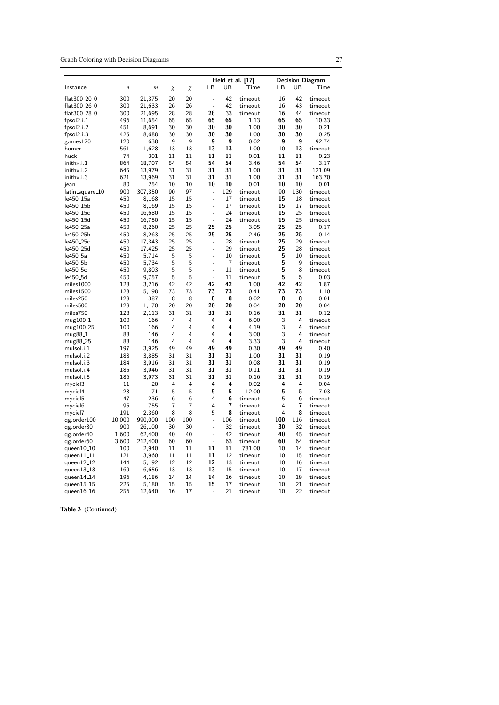Graph Coloring with Decision Diagrams 27

|                                    |                  |                  |                |                   |    |                |                | Held et al. [17] |        |                | <b>Decision Diagram</b> |
|------------------------------------|------------------|------------------|----------------|-------------------|----|----------------|----------------|------------------|--------|----------------|-------------------------|
| Instance                           | $\boldsymbol{n}$ | $\boldsymbol{m}$ | χ              | $\overline{\chi}$ | LB |                | UB             | Time             | LВ     | UB             | Time                    |
| flat300 <sub>-20-0</sub>           | 300              | 21,375           | 20             | 20                |    | $\overline{a}$ | 42             | timeout          | 16     | 42             | timeout                 |
| flat300 <sub>-26-0</sub>           | 300              | 21,633           | 26             | 26                |    |                | 42             | timeout          | 16     | 43             | timeout                 |
| flat300 <sub>-28-0</sub>           | 300              | 21,695           | 28             | 28                | 28 |                | 33             | timeout          | 16     | 44             | timeout                 |
| fpsol2.i.1                         | 496              | 11,654           | 65             | 65                | 65 |                | 65             | 1.13             | 65     | 65             | 10.33                   |
| fpsol2.i.2                         | 451              | 8,691            | 30             | 30                | 30 |                | 30             | 1.00             | 30     | 30             | 0.21                    |
| fpsol2.i.3                         | 425              | 8,688            | 30             | 30                | 30 |                | 30             | 1.00             | 30     | 30             | 0.25                    |
| games120                           | 120              | 638              | 9              | 9                 |    | 9              | 9              | 0.02             | 9      | 9              | 92.74                   |
| homer                              | 561              | 1,628            | 13             | 13                | 13 |                | 13             | 1.00             | 10     | 13             | timeout                 |
| huck                               | 74               | 301              | 11             | 11                | 11 |                | 11             | 0.01             | 11     | 11             | 0.23                    |
| inithx.i.1                         | 864              | 18,707           | 54             | 54                | 54 |                | 54             | 3.46             | 54     | 54             | 3.17                    |
| inithx.i.2                         | 645              | 13,979           | 31             | 31                | 31 |                | 31             | 1.00             | 31     | 31             | 121.09                  |
| inithx.i.3                         | 621              | 13,969           | 31             | 31                | 31 |                | 31             | 1.00             | 31     | 31             | 163.70                  |
| jean                               | 80               | 254              | 10             | 10                | 10 |                | 10             | 0.01             | 10     | 10             | 0.01                    |
| latin_square_10                    | 900              | 307,350          | 90             | 97                |    | ÷,             | 129            | timeout          | 90     | 130            | timeout                 |
| le450 <sub>-15a</sub>              | 450              | 8,168            | 15             | 15                |    | ÷              | 17             | timeout          | 15     | 18             | timeout                 |
| le450 <sub>-15b</sub>              | 450              | 8,169            | 15             | 15                |    | L.             | 17             | timeout          | 15     | 17             | timeout                 |
| le450 <sub>-</sub> 15c             | 450              | 16,680           | 15             | 15                |    | ÷,             | 24             | timeout          | 15     | 25             | timeout                 |
| le450 <sub>-15d</sub>              | 450              | 16,750           | 15             | 15                |    | L,             | 24             | timeout          | 15     | 25             | timeout                 |
| le450 <sub>-25a</sub>              | 450              | 8,260            | 25             | 25                | 25 |                | 25             | 3.05             | 25     | 25             | 0.17                    |
| le450 <sub>–</sub> 25b             | 450              | 8,263            | 25             | 25                | 25 |                | 25             | 2.46             | 25     | 25             | 0.14                    |
| le450 <sub>-25c</sub>              | 450              | 17,343           | 25             | 25                |    |                | 28             | timeout          | 25     | 29             | timeout                 |
| le450 <sub>-25d</sub>              | 450              | 17,425           | 25             | 25                |    | L.             | 29             | timeout          | 25     | 28             | timeout                 |
| le450 <sub>-</sub> 5a              | 450              | 5,714            | 5              | 5                 |    | ÷,             | 10             | timeout          | 5      | 10             | timeout                 |
| le450 <sub>-5b</sub>               | 450              | 5,734            | 5              | 5                 |    | L,             | $\overline{7}$ | timeout          | 5      | 9              | timeout                 |
| le450 <sub>-5c</sub>               | 450              | 9,803            | 5              | 5                 |    | ÷,             | 11             | timeout          | 5      | 8              | timeout                 |
| le450 <sub>-5d</sub>               | 450              | 9,757            | 5              | 5                 |    | ÷,             | 11             | timeout          | 5      | 5              | 0.03                    |
| miles1000                          | 128              | 3,216            | 42             | 42                | 42 |                | 42             | 1.00             | 42     | 42             | 1.87                    |
| miles1500                          | 128              | 5,198            | 73             | 73                | 73 |                | 73             | 0.41             | 73     | 73             | 1.10                    |
| miles250                           | 128              | 387              | 8              | 8                 | 8  |                | 8              | 0.02             | 8      | 8              | 0.01                    |
| miles500                           | 128              | 1,170            | 20             | 20                | 20 |                | 20             | 0.04             | 20     | 20             | 0.04                    |
| miles750                           | 128              | 2,113            | 31             | 31                | 31 |                | 31             | 0.16             | 31     | 31             | 0.12                    |
| mug100 <sub>-1</sub>               | 100              | 166              | 4              | 4                 |    | 4              | 4              | 6.00             | 3      | 4              | timeout                 |
| mug100 <sub>-25</sub>              | 100              | 166              | $\overline{4}$ | 4                 |    | 4              | 4              | 4.19             | 3      | 4              | timeout                 |
| mug88 <sub>-</sub> 1               | 88               | 146              | 4              | 4                 |    | 4              | 4              | 3.00             | 3      | 4              | timeout                 |
|                                    | 88               | 146              | 4              | 4                 |    | 4              | 4              | 3.33             | 3      | 4              | timeout                 |
| mug88 <sub>-25</sub><br>mulsol.i.1 | 197              | 3,925            | 49             | 49                | 49 |                | 49             | 0.30             | 49     | 49             | 0.40                    |
| mulsol.i.2                         | 188              | 3,885            | 31             | 31                | 31 |                | 31             | 1.00             | 31     | 31             | 0.19                    |
|                                    |                  |                  | 31             | 31                | 31 |                | 31             |                  | 31     | 31             |                         |
| mulsol.i.3<br>mulsol.i.4           | 184<br>185       | 3,916<br>3,946   | 31             | 31                | 31 |                | 31             | 0.08<br>0.11     | 31     | 31             | 0.19<br>0.19            |
| mulsol.i.5                         | 186              | 3,973            | 31             | 31                | 31 |                | 31             | 0.16             | 31     | 31             | 0.19                    |
|                                    |                  |                  |                |                   |    | 4              |                |                  | 4      | 4              |                         |
| myciel3                            | 11<br>23         | 20               | 4<br>5         | 4<br>5            |    | 5              | 4<br>5         | 0.02             | 5      | 5              | 0.04<br>7.03            |
| myciel4                            | 47               | 71               |                | 6                 |    | 4              | 6              | 12.00            | 5      | 6              |                         |
| myciel5                            |                  | 236              | 6              | $\overline{7}$    |    | 4              | $\overline{7}$ | timeout          |        | $\overline{7}$ | timeout                 |
| myciel6                            | 95               | 755              | 7              | 8                 |    | 5              | 8              | timeout          | 4<br>4 | 8              | timeout                 |
| myciel7                            | 191              | 2,360            | 8              |                   |    |                |                | timeout          |        |                | timeout                 |
| qg.order100                        | 10,000           | 990,000          | 100            | 100               |    | ÷,             | 106            | timeout          | 100    | 116            | timeout                 |
| qg.order30                         | 900              | 26,100           | 30             | 30                |    | ÷,             | 32             | timeout          | 30     | 32             | timeout                 |
| qg.order40                         | 1,600            | 62,400           | 40             | 40                |    | ÷,             | 42             | timeout          | 40     | 45             | timeout                 |
| qg.order60                         | 3,600            | 212,400          | 60             | 60                |    |                | 63             | timeout          | 60     | 64             | timeout                 |
| queen $10-10$                      | 100              | 2,940            | 11             | 11                | 11 |                | 11             | 781.00           | 10     | 14             | timeout                 |
| queen $11$ <sub>-11</sub>          | 121              | 3,960            | 11             | 11                | 11 |                | 12             | timeout          | 10     | 15             | timeout                 |
| queen12_12                         | 144              | 5,192            | 12             | 12                | 12 |                | 13             | timeout          | 10     | 16             | timeout                 |
| queen $13-13$                      | 169              | 6,656            | 13             | 13                | 13 |                | 15             | timeout          | 10     | 17             | timeout                 |
| queen $14-14$                      | 196              | 4,186            | 14             | 14                | 14 |                | 16             | timeout          | 10     | 19             | timeout                 |
| queen15_15                         | 225              | 5,180            | 15             | 15                | 15 |                | 17             | timeout          | 10     | 21             | timeout                 |
| queen $16_1$                       | 256              | 12,640           | 16             | 17                |    | ÷,             | 21             | timeout          | 10     | 22             | timeout                 |

Table 3 (Continued)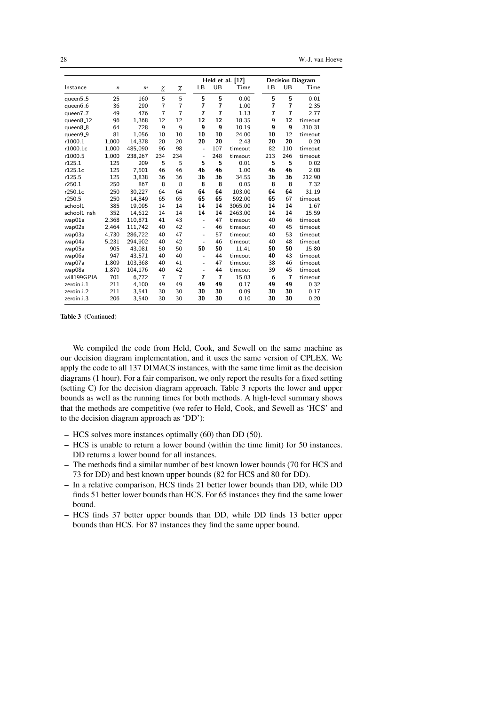28 W.-J. van Hoeve

|             |       |                  |                    |                   |                          |                | Held et al. [17] |                |                | <b>Decision Diagram</b> |
|-------------|-------|------------------|--------------------|-------------------|--------------------------|----------------|------------------|----------------|----------------|-------------------------|
| Instance    | n     | $\boldsymbol{m}$ | $\underline{\chi}$ | $\overline{\chi}$ | LВ                       | UB             | Time             | LB             | UB             | Time                    |
| queen5_5    | 25    | 160              | 5                  | 5                 | 5                        | 5              | 0.00             | 5              | 5              | 0.01                    |
| queen6_6    | 36    | 290              | $\overline{7}$     | $\overline{7}$    | $\overline{7}$           | 7              | 1.00             | 7              | 7              | 2.35                    |
| queen7_7    | 49    | 476              | $\overline{7}$     | $\overline{7}$    | $\overline{7}$           | $\overline{7}$ | 1.13             | $\overline{7}$ | $\overline{7}$ | 2.77                    |
| queen8_12   | 96    | 1,368            | 12                 | 12                | 12                       | 12             | 18.35            | 9              | 12             | timeout                 |
| queen8_8    | 64    | 728              | 9                  | 9                 | 9                        | 9              | 10.19            | 9              | 9              | 310.31                  |
| queen9_9    | 81    | 1.056            | 10                 | 10                | 10                       | 10             | 24.00            | 10             | 12             | timeout                 |
| r1000.1     | 1.000 | 14.378           | 20                 | 20                | 20                       | 20             | 2.43             | 20             | 20             | 0.20                    |
| r1000.1c    | 1,000 | 485,090          | 96                 | 98                | ÷,                       | 107            | timeout          | 82             | 110            | timeout                 |
| r1000.5     | 1,000 | 238,267          | 234                | 234               | ÷,                       | 248            | timeout          | 213            | 246            | timeout                 |
| r125.1      | 125   | 209              | 5                  | 5                 | 5                        | 5              | 0.01             | 5              | 5              | 0.02                    |
| r125.1c     | 125   | 7,501            | 46                 | 46                | 46                       | 46             | 1.00             | 46             | 46             | 2.08                    |
| r125.5      | 125   | 3,838            | 36                 | 36                | 36                       | 36             | 34.55            | 36             | 36             | 212.90                  |
| r250.1      | 250   | 867              | 8                  | 8                 | 8                        | 8              | 0.05             | 8              | 8              | 7.32                    |
| r250.1c     | 250   | 30.227           | 64                 | 64                | 64                       | 64             | 103.00           | 64             | 64             | 31.19                   |
| r250.5      | 250   | 14.849           | 65                 | 65                | 65                       | 65             | 592.00           | 65             | 67             | timeout                 |
| school1     | 385   | 19.095           | 14                 | 14                | 14                       | 14             | 3065.00          | 14             | 14             | 1.67                    |
| school1_nsh | 352   | 14.612           | 14                 | 14                | 14                       | 14             | 2463.00          | 14             | 14             | 15.59                   |
| wap01a      | 2,368 | 110,871          | 41                 | 43                | ÷,                       | 47             | timeout          | 40             | 46             | timeout                 |
| wap02a      | 2.464 | 111.742          | 40                 | 42                | $\blacksquare$           | 46             | timeout          | 40             | 45             | timeout                 |
| wap03a      | 4.730 | 286.722          | 40                 | 47                | $\blacksquare$           | 57             | timeout          | 40             | 53             | timeout                 |
| wap04a      | 5,231 | 294,902          | 40                 | 42                | $\blacksquare$           | 46             | timeout          | 40             | 48             | timeout                 |
| wap05a      | 905   | 43,081           | 50                 | 50                | 50                       | 50             | 11.41            | 50             | 50             | 15.80                   |
| wap06a      | 947   | 43.571           | 40                 | 40                | $\overline{a}$           | 44             | timeout          | 40             | 43             | timeout                 |
| wap07a      | 1.809 | 103.368          | 40                 | 41                | $\overline{\phantom{a}}$ | 47             | timeout          | 38             | 46             | timeout                 |
| wap08a      | 1,870 | 104,176          | 40                 | 42                | $\overline{a}$           | 44             | timeout          | 39             | 45             | timeout                 |
| will199GPIA | 701   | 6,772            | $\overline{7}$     | $\overline{7}$    | 7                        | $\overline{7}$ | 15.03            | 6              | $\overline{7}$ | timeout                 |
| zeroin.i.1  | 211   | 4,100            | 49                 | 49                | 49                       | 49             | 0.17             | 49             | 49             | 0.32                    |
| zeroin.i.2  | 211   | 3,541            | 30                 | 30                | 30                       | 30             | 0.09             | 30             | 30             | 0.17                    |
| zeroin.i.3  | 206   | 3,540            | 30                 | 30                | 30                       | 30             | 0.10             | 30             | 30             | 0.20                    |

Table 3 (Continued)

We compiled the code from Held, Cook, and Sewell on the same machine as our decision diagram implementation, and it uses the same version of CPLEX. We apply the code to all 137 DIMACS instances, with the same time limit as the decision diagrams (1 hour). For a fair comparison, we only report the results for a fixed setting (setting C) for the decision diagram approach. Table 3 reports the lower and upper bounds as well as the running times for both methods. A high-level summary shows that the methods are competitive (we refer to Held, Cook, and Sewell as 'HCS' and to the decision diagram approach as 'DD'):

- HCS solves more instances optimally (60) than DD (50).
- HCS is unable to return a lower bound (within the time limit) for 50 instances. DD returns a lower bound for all instances.
- The methods find a similar number of best known lower bounds (70 for HCS and 73 for DD) and best known upper bounds (82 for HCS and 80 for DD).
- In a relative comparison, HCS finds 21 better lower bounds than DD, while DD finds 51 better lower bounds than HCS. For 65 instances they find the same lower bound.
- HCS finds 37 better upper bounds than DD, while DD finds 13 better upper bounds than HCS. For 87 instances they find the same upper bound.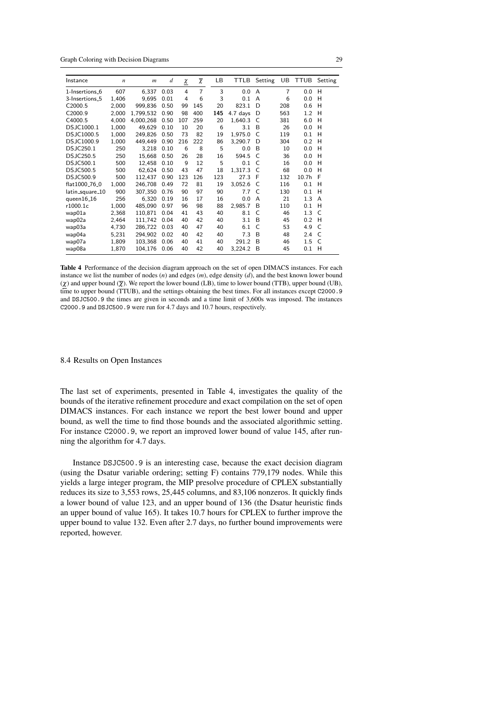Graph Coloring with Decision Diagrams 29

| Instance                   | $\boldsymbol{n}$ | $\boldsymbol{m}$ | $\boldsymbol{d}$ | χ   | $\overline{\chi}$ | LB. | TTLB     | Setting | UB             | TTUB              | Setting |
|----------------------------|------------------|------------------|------------------|-----|-------------------|-----|----------|---------|----------------|-------------------|---------|
| 1-Insertions 6             | 607              | 6,337            | 0.03             | 4   | $\overline{7}$    | 3   | 0.0      | A       | $\overline{7}$ | 0.0               | н       |
| 3-Insertions <sub>-5</sub> | 1,406            | 9.695            | 0.01             | 4   | 6                 | 3   | 0.1      | A       | 6              | 0.0               | н       |
| C2000.5                    | 2,000            | 999,836          | 0.50             | 99  | 145               | 20  | 823.1    | D       | 208            | 0.6               | н       |
| C2000.9                    | 2,000            | 1,799,532        | 0.90             | 98  | 400               | 145 | 4.7 days | D       | 563            | 1.2               | Н       |
| C4000.5                    | 4,000            | 4.000.268        | 0.50             | 107 | 259               | 20  | 1.640.3  | C       | 381            | 6.0               | н       |
| DSJC1000.1                 | 1,000            | 49,629           | 0.10             | 10  | 20                | 6   | 3.1      | B       | 26             | 0.0               | н       |
| DSJC1000.5                 | 1,000            | 249,826          | 0.50             | 73  | 82                | 19  | 1,975.0  | C       | 119            | 0.1               | н       |
| DSJC1000.9                 | 1,000            | 449,449          | 0.90             | 216 | 222               | 86  | 3,290.7  | D       | 304            | 0.2               | н       |
| <b>DSJC250.1</b>           | 250              | 3,218            | 0.10             | 6   | 8                 | 5   | 0.0      | B       | 10             | 0.0               | н       |
| <b>DSJC250.5</b>           | 250              | 15,668           | 0.50             | 26  | 28                | 16  | 594.5    | C       | 36             | 0.0               | н       |
| <b>DSJC500.1</b>           | 500              | 12,458           | 0.10             | 9   | 12                | 5   | 0.1      | C       | 16             | 0.0               | н       |
| <b>DSJC500.5</b>           | 500              | 62,624           | 0.50             | 43  | 47                | 18  | 1,317.3  | C       | 68             | 0.0               | н       |
| DSJC500.9                  | 500              | 112.437          | 0.90             | 123 | 126               | 123 | 27.3     | F       | 132            | 10.7 <sub>h</sub> | F       |
| flat1000 <sub>-76-0</sub>  | 1,000            | 246,708          | 0.49             | 72  | 81                | 19  | 3,052.6  | C       | 116            | 0.1               | н       |
| latin_square_10            | 900              | 307,350          | 0.76             | 90  | 97                | 90  | 7.7      | C       | 130            | 0.1               | Н       |
| queen $16-16$              | 256              | 6.320            | 0.19             | 16  | 17                | 16  | 0.0      | A       | 21             | 1.3               | A       |
| r1000.1c                   | 1,000            | 485,090          | 0.97             | 96  | 98                | 88  | 2,985.7  | B       | 110            | 0.1               | Н       |
| wap01a                     | 2,368            | 110,871          | 0.04             | 41  | 43                | 40  | 8.1      | C       | 46             | 1.3               | C       |
| wap02a                     | 2,464            | 111,742          | 0.04             | 40  | 42                | 40  | 3.1      | B       | 45             | 0.2               | H       |
| wap03a                     | 4,730            | 286.722          | 0.03             | 40  | 47                | 40  | 6.1      | C       | 53             | 4.9               | C       |
| wap04a                     | 5,231            | 294,902          | 0.02             | 40  | 42                | 40  | 7.3      | B       | 48             | 2.4               | C       |
| wap07a                     | 1,809            | 103,368          | 0.06             | 40  | 41                | 40  | 291.2    | B       | 46             | 1.5               | C       |
| wap08a                     | 1,870            | 104,176          | 0.06             | 40  | 42                | 40  | 3,224.2  | B       | 45             | 0.1               | н       |

Table 4 Performance of the decision diagram approach on the set of open DIMACS instances. For each instance we list the number of nodes (*n*) and edges (*m*), edge density (*d*), and the best known lower bound  $(\chi)$  and upper bound  $(\overline{\chi})$ . We report the lower bound (LB), time to lower bound (TTB), upper bound (UB), time to upper bound (TTUB), and the settings obtaining the best times. For all instances except C2000.9 and DSJC500.9 the times are given in seconds and a time limit of 3,600s was imposed. The instances C2000.9 and DSJC500.9 were run for 4.7 days and 10.7 hours, respectively.

# 8.4 Results on Open Instances

The last set of experiments, presented in Table 4, investigates the quality of the bounds of the iterative refinement procedure and exact compilation on the set of open DIMACS instances. For each instance we report the best lower bound and upper bound, as well the time to find those bounds and the associated algorithmic setting. For instance C2000.9, we report an improved lower bound of value 145, after running the algorithm for 4.7 days.

Instance DSJC500.9 is an interesting case, because the exact decision diagram (using the Dsatur variable ordering; setting F) contains 779,179 nodes. While this yields a large integer program, the MIP presolve procedure of CPLEX substantially reduces its size to 3,553 rows, 25,445 columns, and 83,106 nonzeros. It quickly finds a lower bound of value 123, and an upper bound of 136 (the Dsatur heuristic finds an upper bound of value 165). It takes 10.7 hours for CPLEX to further improve the upper bound to value 132. Even after 2.7 days, no further bound improvements were reported, however.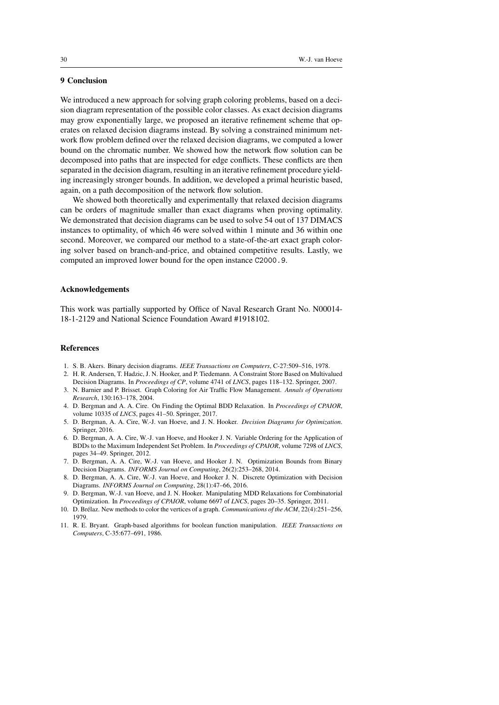# 9 Conclusion

We introduced a new approach for solving graph coloring problems, based on a decision diagram representation of the possible color classes. As exact decision diagrams may grow exponentially large, we proposed an iterative refinement scheme that operates on relaxed decision diagrams instead. By solving a constrained minimum network flow problem defined over the relaxed decision diagrams, we computed a lower bound on the chromatic number. We showed how the network flow solution can be decomposed into paths that are inspected for edge conflicts. These conflicts are then separated in the decision diagram, resulting in an iterative refinement procedure yielding increasingly stronger bounds. In addition, we developed a primal heuristic based, again, on a path decomposition of the network flow solution.

We showed both theoretically and experimentally that relaxed decision diagrams can be orders of magnitude smaller than exact diagrams when proving optimality. We demonstrated that decision diagrams can be used to solve 54 out of 137 DIMACS instances to optimality, of which 46 were solved within 1 minute and 36 within one second. Moreover, we compared our method to a state-of-the-art exact graph coloring solver based on branch-and-price, and obtained competitive results. Lastly, we computed an improved lower bound for the open instance C2000.9.

# Acknowledgements

This work was partially supported by Office of Naval Research Grant No. N00014- 18-1-2129 and National Science Foundation Award #1918102.

#### References

- 1. S. B. Akers. Binary decision diagrams. *IEEE Transactions on Computers*, C-27:509–516, 1978.
- 2. H. R. Andersen, T. Hadzic, J. N. Hooker, and P. Tiedemann. A Constraint Store Based on Multivalued Decision Diagrams. In *Proceedings of CP*, volume 4741 of *LNCS*, pages 118–132. Springer, 2007.
- 3. N. Barnier and P. Brisset. Graph Coloring for Air Traffic Flow Management. *Annals of Operations Research*, 130:163–178, 2004.
- 4. D. Bergman and A. A. Cire. On Finding the Optimal BDD Relaxation. In *Proceedings of CPAIOR*, volume 10335 of *LNCS*, pages 41–50. Springer, 2017.
- 5. D. Bergman, A. A. Cire, W.-J. van Hoeve, and J. N. Hooker. *Decision Diagrams for Optimization*. Springer, 2016.
- 6. D. Bergman, A. A. Cire, W.-J. van Hoeve, and Hooker J. N. Variable Ordering for the Application of BDDs to the Maximum Independent Set Problem. In *Proceedings of CPAIOR*, volume 7298 of *LNCS*, pages 34–49. Springer, 2012.
- 7. D. Bergman, A. A. Cire, W.-J. van Hoeve, and Hooker J. N. Optimization Bounds from Binary Decision Diagrams. *INFORMS Journal on Computing*, 26(2):253–268, 2014.
- 8. D. Bergman, A. A. Cire, W.-J. van Hoeve, and Hooker J. N. Discrete Optimization with Decision Diagrams. *INFORMS Journal on Computing*, 28(1):47–66, 2016.
- 9. D. Bergman, W.-J. van Hoeve, and J. N. Hooker. Manipulating MDD Relaxations for Combinatorial Optimization. In *Proceedings of CPAIOR*, volume 6697 of *LNCS*, pages 20–35. Springer, 2011.
- 10. D. Brélaz. New methods to color the vertices of a graph. *Communications of the ACM*, 22(4):251–256, 1979.
- 11. R. E. Bryant. Graph-based algorithms for boolean function manipulation. *IEEE Transactions on Computers*, C-35:677–691, 1986.